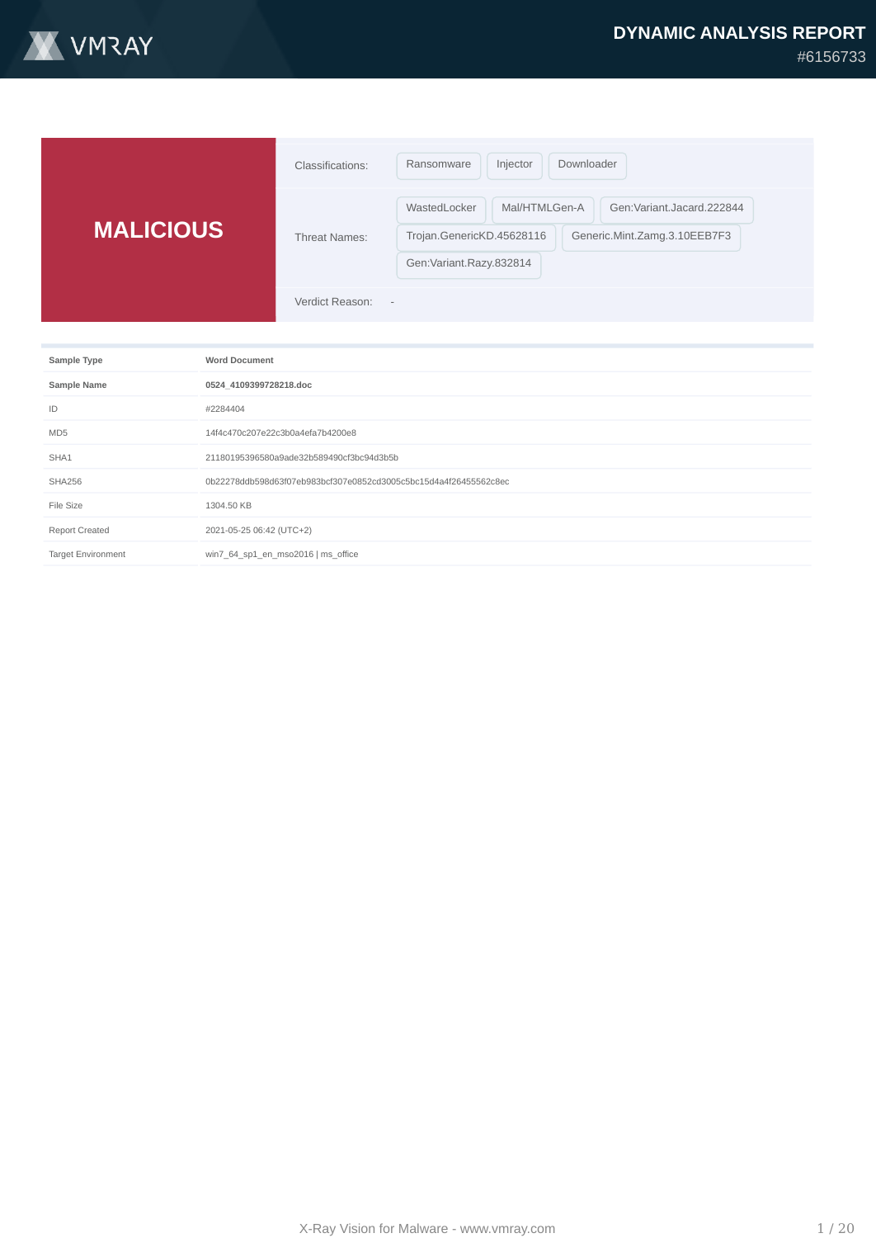

|                                     | Classifications:     | Downloader<br>Injector<br>Ransomware                          |
|-------------------------------------|----------------------|---------------------------------------------------------------|
|                                     |                      | WastedLocker<br>Mal/HTMLGen-A<br>Gen: Variant, Jacard, 222844 |
| <b>MALICIOUS</b>                    | <b>Threat Names:</b> | Trojan.GenericKD.45628116<br>Generic.Mint.Zamg.3.10EEB7F3     |
|                                     |                      | Gen: Variant.Razy.832814                                      |
|                                     | Verdict Reason:      | $\overline{\phantom{a}}$                                      |
|                                     |                      |                                                               |
| <b>Word Document</b><br>Sample Type |                      |                                                               |

| Sample Name               | 0524 4109399728218.doc                                           |
|---------------------------|------------------------------------------------------------------|
| ID                        | #2284404                                                         |
| MD <sub>5</sub>           | 14f4c470c207e22c3b0a4efa7b4200e8                                 |
| SHA1                      | 21180195396580a9ade32b589490cf3bc94d3b5b                         |
| <b>SHA256</b>             | 0b22278ddb598d63f07eb983bcf307e0852cd3005c5bc15d4a4f26455562c8ec |
| File Size                 | 1304.50 KB                                                       |
| <b>Report Created</b>     | 2021-05-25 06:42 (UTC+2)                                         |
| <b>Target Environment</b> | win7_64_sp1_en_mso2016   ms_office                               |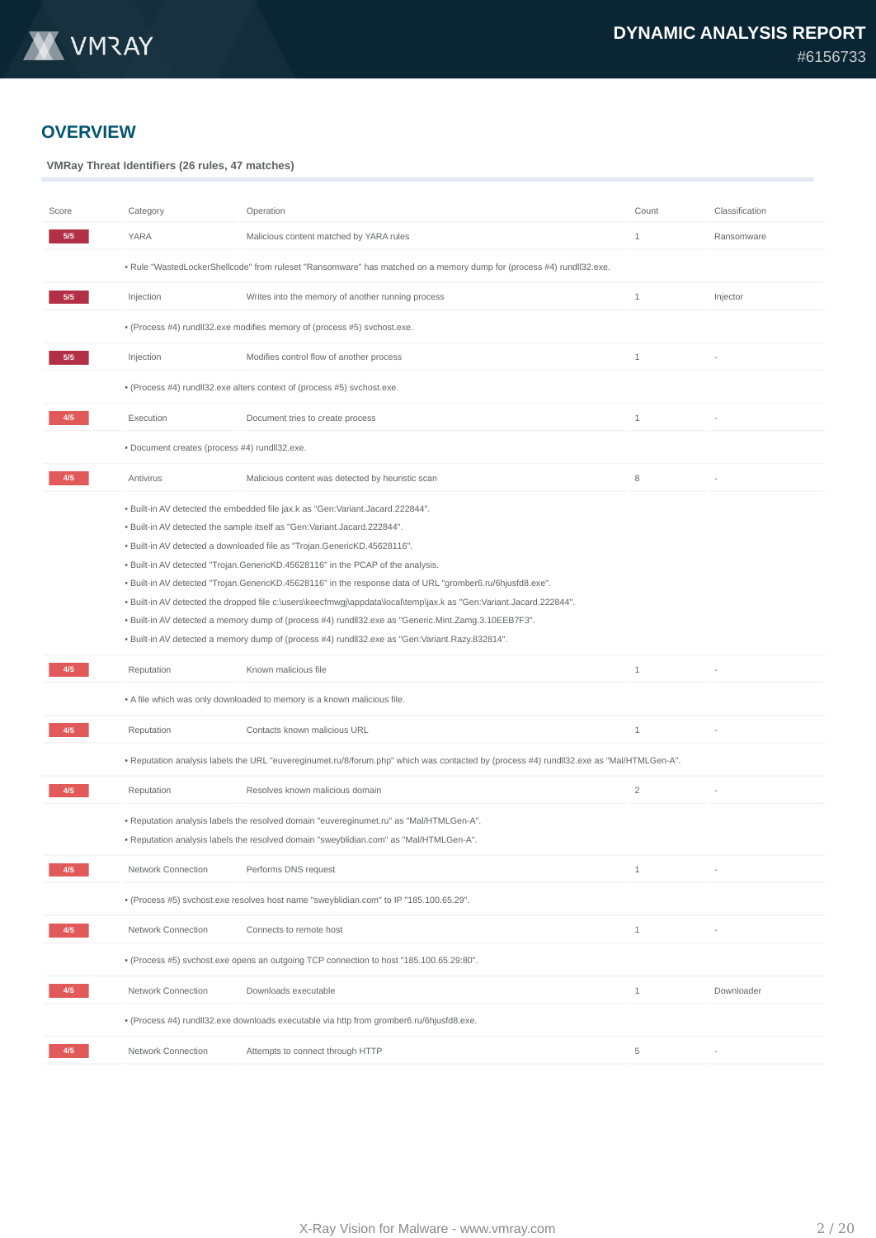

## **OVERVIEW**

**VMRay Threat Identifiers (26 rules, 47 matches)**

| Score | Category                                                                                                                                                                                                                                                                                                                                                                                                                                                                                                                                                                                                                                                                                                                                                                     | Operation                                                                                                                                                                         | Count          | Classification |  |  |  |  |  |  |
|-------|------------------------------------------------------------------------------------------------------------------------------------------------------------------------------------------------------------------------------------------------------------------------------------------------------------------------------------------------------------------------------------------------------------------------------------------------------------------------------------------------------------------------------------------------------------------------------------------------------------------------------------------------------------------------------------------------------------------------------------------------------------------------------|-----------------------------------------------------------------------------------------------------------------------------------------------------------------------------------|----------------|----------------|--|--|--|--|--|--|
| 5/5   | <b>YARA</b>                                                                                                                                                                                                                                                                                                                                                                                                                                                                                                                                                                                                                                                                                                                                                                  | Malicious content matched by YARA rules                                                                                                                                           | 1              | Ransomware     |  |  |  |  |  |  |
|       |                                                                                                                                                                                                                                                                                                                                                                                                                                                                                                                                                                                                                                                                                                                                                                              | . Rule "WastedLockerShellcode" from ruleset "Ransomware" has matched on a memory dump for (process #4) rundll32.exe.                                                              |                |                |  |  |  |  |  |  |
| 5/5   | Injection                                                                                                                                                                                                                                                                                                                                                                                                                                                                                                                                                                                                                                                                                                                                                                    | Writes into the memory of another running process                                                                                                                                 | $\mathbf{1}$   | Injector       |  |  |  |  |  |  |
|       |                                                                                                                                                                                                                                                                                                                                                                                                                                                                                                                                                                                                                                                                                                                                                                              | • (Process #4) rundll32.exe modifies memory of (process #5) svchost.exe.                                                                                                          |                |                |  |  |  |  |  |  |
| 5/5   | Injection                                                                                                                                                                                                                                                                                                                                                                                                                                                                                                                                                                                                                                                                                                                                                                    | Modifies control flow of another process                                                                                                                                          | $\mathbf{1}$   |                |  |  |  |  |  |  |
|       |                                                                                                                                                                                                                                                                                                                                                                                                                                                                                                                                                                                                                                                                                                                                                                              | • (Process #4) rundll32.exe alters context of (process #5) svchost.exe.                                                                                                           |                |                |  |  |  |  |  |  |
| 4/5   | Execution                                                                                                                                                                                                                                                                                                                                                                                                                                                                                                                                                                                                                                                                                                                                                                    | Document tries to create process                                                                                                                                                  | $\mathbf{1}$   |                |  |  |  |  |  |  |
|       | · Document creates (process #4) rundll32.exe.                                                                                                                                                                                                                                                                                                                                                                                                                                                                                                                                                                                                                                                                                                                                |                                                                                                                                                                                   |                |                |  |  |  |  |  |  |
| 4/5   | Antivirus                                                                                                                                                                                                                                                                                                                                                                                                                                                                                                                                                                                                                                                                                                                                                                    | Malicious content was detected by heuristic scan                                                                                                                                  | 8              | ÷,             |  |  |  |  |  |  |
|       | . Built-in AV detected the embedded file jax.k as "Gen:Variant.Jacard.222844".<br>. Built-in AV detected the sample itself as "Gen:Variant.Jacard.222844".<br>. "Built-in AV detected a downloaded file as "Trojan.GenericKD.45628116".<br>. Built-in AV detected "Trojan.GenericKD.45628116" in the PCAP of the analysis.<br>• Built-in AV detected "Trojan.GenericKD.45628116" in the response data of URL "gromber6.ru/6hjusfd8.exe".<br>• Built-in AV detected the dropped file c:\users\keecfmwgj\appdata\local\temp\jax.k as "Gen:Variant.Jacard.222844".<br>. "Built-in AV detected a memory dump of (process #4) rundll32.exe as "Generic.Mint.Zamg.3.10EEB7F3".<br>. "Built-in AV detected a memory dump of (process #4) rundll32.exe as "Gen:Variant.Razy.832814". |                                                                                                                                                                                   |                |                |  |  |  |  |  |  |
| 4/5   | Reputation                                                                                                                                                                                                                                                                                                                                                                                                                                                                                                                                                                                                                                                                                                                                                                   | Known malicious file                                                                                                                                                              | $\mathbf{1}$   |                |  |  |  |  |  |  |
|       |                                                                                                                                                                                                                                                                                                                                                                                                                                                                                                                                                                                                                                                                                                                                                                              | . A file which was only downloaded to memory is a known malicious file.                                                                                                           |                |                |  |  |  |  |  |  |
| 4/5   | Reputation                                                                                                                                                                                                                                                                                                                                                                                                                                                                                                                                                                                                                                                                                                                                                                   | Contacts known malicious URL                                                                                                                                                      | 1              |                |  |  |  |  |  |  |
|       |                                                                                                                                                                                                                                                                                                                                                                                                                                                                                                                                                                                                                                                                                                                                                                              | . Reputation analysis labels the URL "euvereginumet.ru/8/forum.php" which was contacted by (process #4) rundll32.exe as "Mal/HTMLGen-A".                                          |                |                |  |  |  |  |  |  |
| 4/5   | Reputation                                                                                                                                                                                                                                                                                                                                                                                                                                                                                                                                                                                                                                                                                                                                                                   | Resolves known malicious domain                                                                                                                                                   | $\overline{c}$ |                |  |  |  |  |  |  |
|       |                                                                                                                                                                                                                                                                                                                                                                                                                                                                                                                                                                                                                                                                                                                                                                              | . Reputation analysis labels the resolved domain "euvereginumet.ru" as "Mal/HTMLGen-A".<br>. Reputation analysis labels the resolved domain "sweyblidian.com" as "Mal/HTMLGen-A". |                |                |  |  |  |  |  |  |
|       | Network Connection                                                                                                                                                                                                                                                                                                                                                                                                                                                                                                                                                                                                                                                                                                                                                           | Performs DNS request                                                                                                                                                              | 1              |                |  |  |  |  |  |  |
|       |                                                                                                                                                                                                                                                                                                                                                                                                                                                                                                                                                                                                                                                                                                                                                                              | • (Process #5) svchost.exe resolves host name "sweyblidian.com" to IP "185.100.65.29".                                                                                            |                |                |  |  |  |  |  |  |
| 4I5   | Network Connection                                                                                                                                                                                                                                                                                                                                                                                                                                                                                                                                                                                                                                                                                                                                                           | Connects to remote host                                                                                                                                                           | $\mathbf{1}$   |                |  |  |  |  |  |  |
|       |                                                                                                                                                                                                                                                                                                                                                                                                                                                                                                                                                                                                                                                                                                                                                                              | . (Process #5) svchost.exe opens an outgoing TCP connection to host "185.100.65.29:80".                                                                                           |                |                |  |  |  |  |  |  |
| 4/5   | Network Connection                                                                                                                                                                                                                                                                                                                                                                                                                                                                                                                                                                                                                                                                                                                                                           | Downloads executable                                                                                                                                                              | $\mathbf{1}$   | Downloader     |  |  |  |  |  |  |
|       |                                                                                                                                                                                                                                                                                                                                                                                                                                                                                                                                                                                                                                                                                                                                                                              | . (Process #4) rundll32.exe downloads executable via http from gromber6.ru/6hjusfd8.exe.                                                                                          |                |                |  |  |  |  |  |  |
| 4/5   | Network Connection                                                                                                                                                                                                                                                                                                                                                                                                                                                                                                                                                                                                                                                                                                                                                           | Attempts to connect through HTTP                                                                                                                                                  | 5              |                |  |  |  |  |  |  |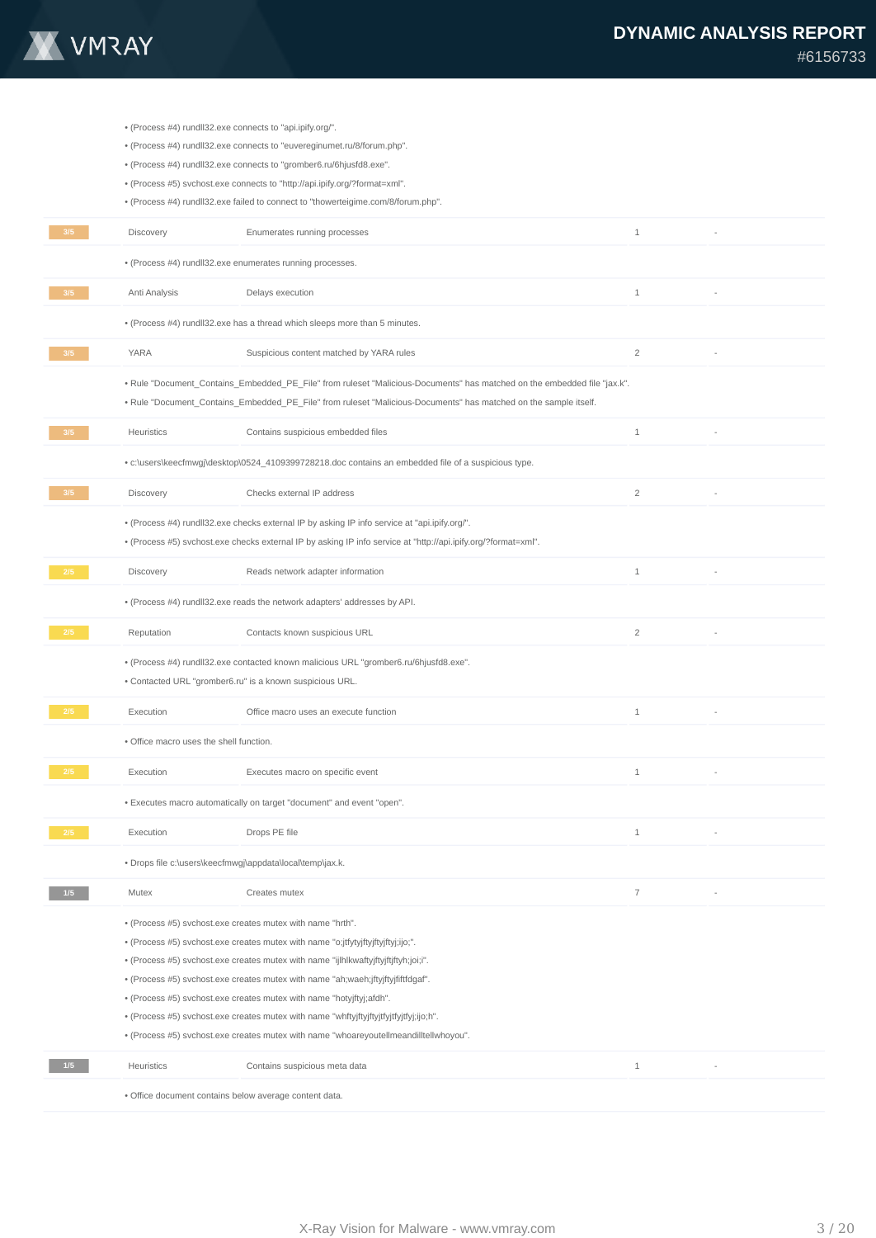

- (Process #4) rundll32.exe connects to "api.ipify.org/". •
- (Process #4) rundll32.exe connects to "euvereginumet.ru/8/forum.php". •
- (Process #4) rundll32.exe connects to "gromber6.ru/6hjusfd8.exe". •
- (Process #5) svchost.exe connects to "http://api.ipify.org/?format=xml". •
- (Process #4) rundll32.exe failed to connect to "thowerteigime.com/8/forum.php". •

| 3/5 | Discovery                                                  | Enumerates running processes                                                                                                                                                                                                                                                                                                                                                                                                                                                                                           | $\mathbf{1}$   |        |
|-----|------------------------------------------------------------|------------------------------------------------------------------------------------------------------------------------------------------------------------------------------------------------------------------------------------------------------------------------------------------------------------------------------------------------------------------------------------------------------------------------------------------------------------------------------------------------------------------------|----------------|--------|
|     | • (Process #4) rundll32.exe enumerates running processes.  |                                                                                                                                                                                                                                                                                                                                                                                                                                                                                                                        |                |        |
| 3/5 | Anti Analysis                                              | Delays execution                                                                                                                                                                                                                                                                                                                                                                                                                                                                                                       | $\mathbf 1$    |        |
|     |                                                            | • (Process #4) rundll32.exe has a thread which sleeps more than 5 minutes.                                                                                                                                                                                                                                                                                                                                                                                                                                             |                |        |
| 3/5 | YARA                                                       | Suspicious content matched by YARA rules                                                                                                                                                                                                                                                                                                                                                                                                                                                                               | $\sqrt{2}$     |        |
|     |                                                            | . "Rule "Document_Contains_Embedded_PE_File" from ruleset "Malicious-Documents" has matched on the embedded file "jax.k".<br>. Rule "Document_Contains_Embedded_PE_File" from ruleset "Malicious-Documents" has matched on the sample itself.                                                                                                                                                                                                                                                                          |                |        |
| 3/5 | Heuristics                                                 | Contains suspicious embedded files                                                                                                                                                                                                                                                                                                                                                                                                                                                                                     | $1\,$          |        |
|     |                                                            | . c:\users\keecfmwgj\desktop\0524_4109399728218.doc contains an embedded file of a suspicious type.                                                                                                                                                                                                                                                                                                                                                                                                                    |                |        |
| 3/5 | Discovery                                                  | Checks external IP address                                                                                                                                                                                                                                                                                                                                                                                                                                                                                             | $\overline{c}$ | $\sim$ |
|     |                                                            | . (Process #4) rundll32.exe checks external IP by asking IP info service at "api.ipify.org/".<br>• (Process #5) svchost.exe checks external IP by asking IP info service at "http://api.ipify.org/?format=xml".                                                                                                                                                                                                                                                                                                        |                |        |
| 2/5 | Discovery                                                  | Reads network adapter information                                                                                                                                                                                                                                                                                                                                                                                                                                                                                      | $\mathbf{1}$   | ٠      |
|     |                                                            | • (Process #4) rundll32.exe reads the network adapters' addresses by API.                                                                                                                                                                                                                                                                                                                                                                                                                                              |                |        |
| 2/5 | Reputation                                                 | Contacts known suspicious URL                                                                                                                                                                                                                                                                                                                                                                                                                                                                                          | $\sqrt{2}$     | $\sim$ |
|     | . Contacted URL "gromber6.ru" is a known suspicious URL.   | • (Process #4) rundll32.exe contacted known malicious URL "gromber6.ru/6hjusfd8.exe".                                                                                                                                                                                                                                                                                                                                                                                                                                  |                |        |
| 2/5 | Execution                                                  | Office macro uses an execute function                                                                                                                                                                                                                                                                                                                                                                                                                                                                                  | $\mathbf{1}$   |        |
|     | • Office macro uses the shell function.                    |                                                                                                                                                                                                                                                                                                                                                                                                                                                                                                                        |                |        |
| 2/5 | Execution                                                  | Executes macro on specific event                                                                                                                                                                                                                                                                                                                                                                                                                                                                                       | $1\,$          |        |
|     |                                                            | . Executes macro automatically on target "document" and event "open".                                                                                                                                                                                                                                                                                                                                                                                                                                                  |                |        |
| 2/5 | Execution                                                  | Drops PE file                                                                                                                                                                                                                                                                                                                                                                                                                                                                                                          | $\mathbf 1$    |        |
|     | · Drops file c:\users\keecfmwgj\appdata\local\temp\jax.k.  |                                                                                                                                                                                                                                                                                                                                                                                                                                                                                                                        |                |        |
| 1/5 | Mutex                                                      | Creates mutex                                                                                                                                                                                                                                                                                                                                                                                                                                                                                                          | $\overline{7}$ |        |
|     | • (Process #5) svchost.exe creates mutex with name "hrth". | • (Process #5) svchost.exe creates mutex with name "o;jtfytyjftyjftyjftyj;ijo;".<br>• (Process #5) svchost.exe creates mutex with name "ijlhlkwaftyjftyjftjftyh;joi;i".<br>. (Process #5) svchost.exe creates mutex with name "ah;waeh;jftyjftyjfiftfdgaf".<br>• (Process #5) svchost.exe creates mutex with name "hotyjftyj;afdh".<br>. (Process #5) svchost.exe creates mutex with name "whftyjftyjtfyjtfyjtfyjtfyj;ijo;h".<br>. (Process #5) svchost.exe creates mutex with name "whoareyoutellmeandilltellwhoyou". |                |        |
| 1/5 | Heuristics                                                 | Contains suspicious meta data                                                                                                                                                                                                                                                                                                                                                                                                                                                                                          | $\mathbf{1}$   | $\sim$ |
|     | · Office document contains below average content data.     |                                                                                                                                                                                                                                                                                                                                                                                                                                                                                                                        |                |        |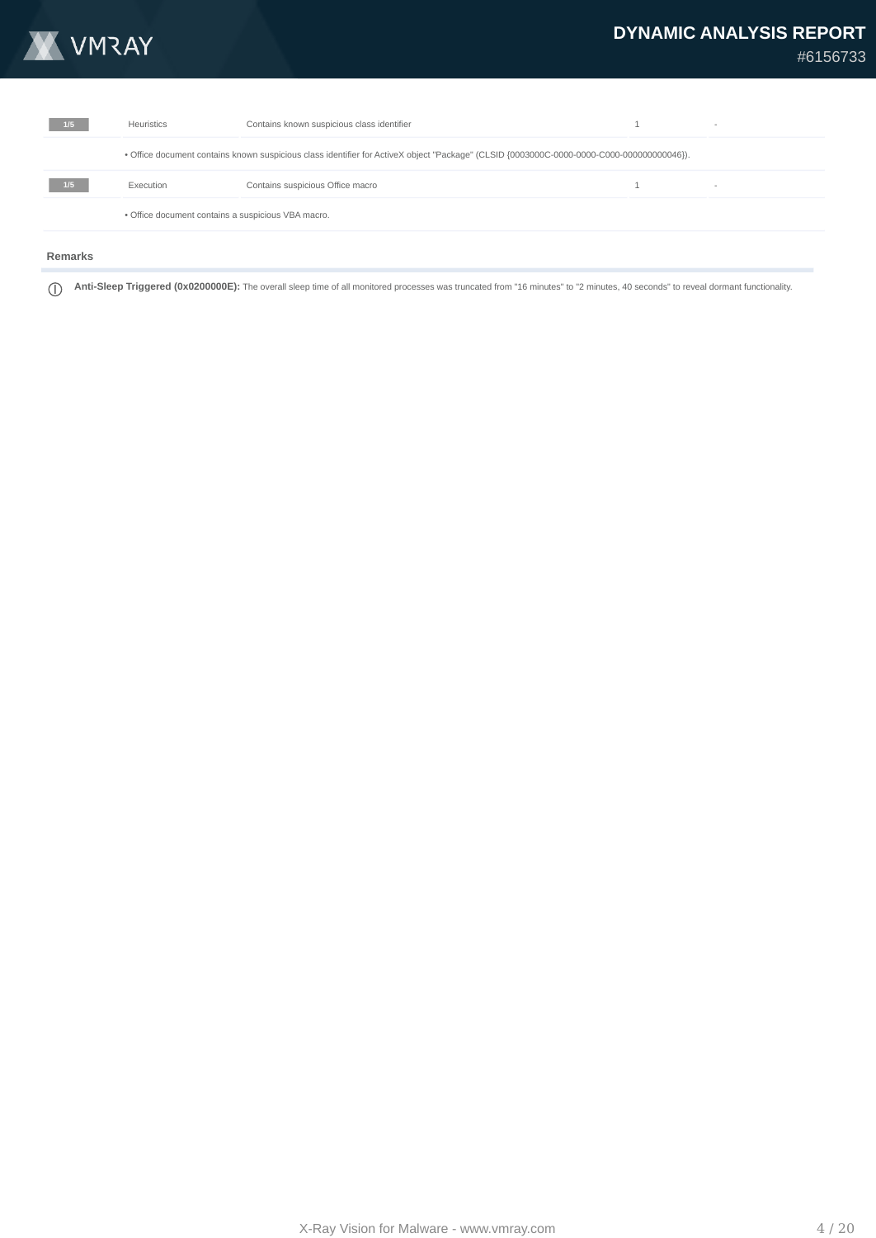# **DYNAMIC ANALYSIS REPORT**

#6156733



| 1/5            | Heuristics                                                                                                                                | Contains known suspicious class identifier |  | $\sim$ |  |  |  |  |  |  |
|----------------|-------------------------------------------------------------------------------------------------------------------------------------------|--------------------------------------------|--|--------|--|--|--|--|--|--|
|                | . Office document contains known suspicious class identifier for ActiveX object "Package" (CLSID {0003000C-0000-0000-C000-000000000046}). |                                            |  |        |  |  |  |  |  |  |
| 1/5            | Execution                                                                                                                                 | Contains suspicious Office macro           |  | $\sim$ |  |  |  |  |  |  |
|                | • Office document contains a suspicious VBA macro.                                                                                        |                                            |  |        |  |  |  |  |  |  |
| <b>Remarks</b> |                                                                                                                                           |                                            |  |        |  |  |  |  |  |  |

**Anti-Sleep Triggered (0x0200000E):** The overall sleep time of all monitored processes was truncated from "16 minutes" to "2 minutes, 40 seconds" to reveal dormant functionality.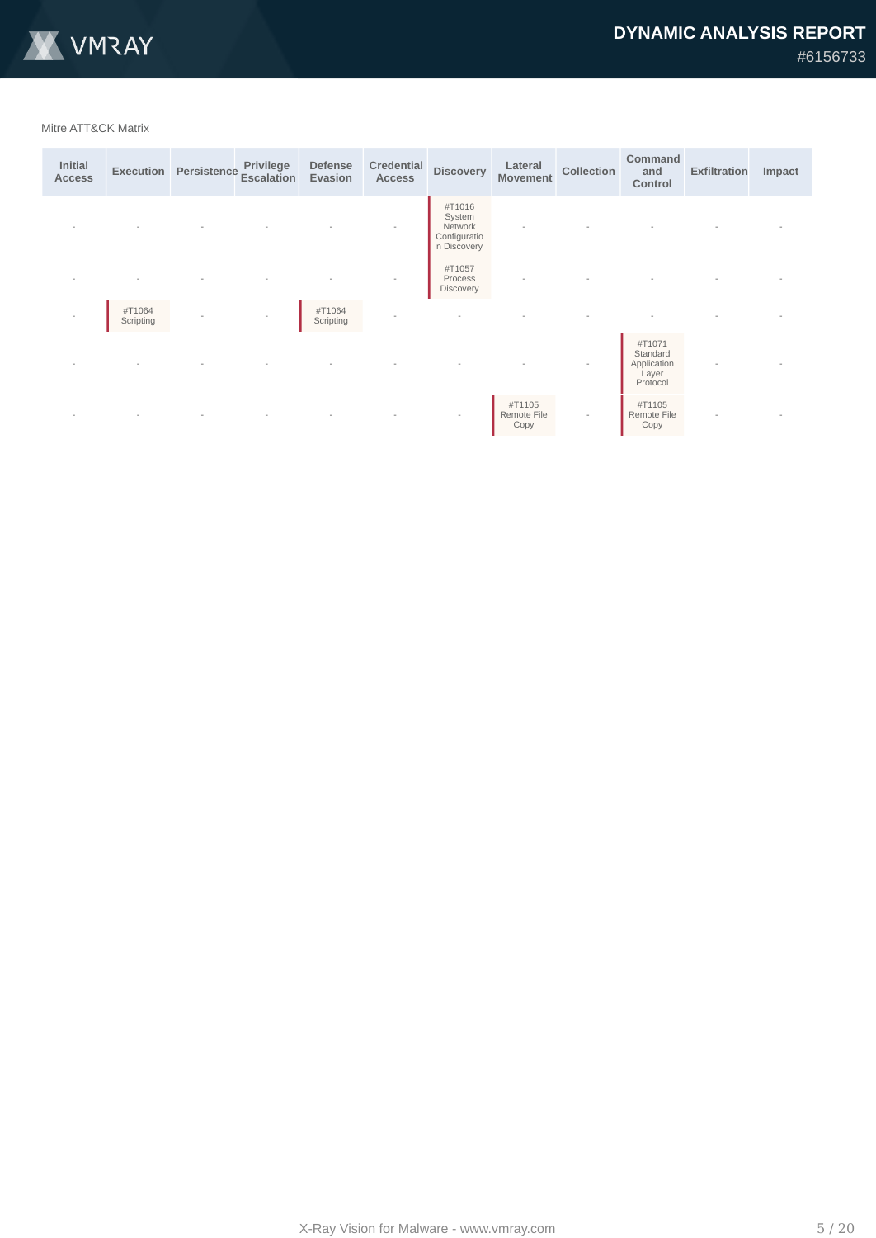



#### Mitre ATT&CK Matrix

| Initial<br><b>Access</b> |                     | <b>Execution Persistence</b> | Privilege<br><b>Escalation</b> | <b>Defense</b><br>Evasion | Credential<br><b>Access</b> | <b>Discovery</b>                                           | Lateral<br><b>Movement</b>    | Collection | Command<br>and<br>Control                              | <b>Exfiltration</b>      | Impact |
|--------------------------|---------------------|------------------------------|--------------------------------|---------------------------|-----------------------------|------------------------------------------------------------|-------------------------------|------------|--------------------------------------------------------|--------------------------|--------|
|                          |                     |                              |                                |                           |                             | #T1016<br>System<br>Network<br>Configuratio<br>n Discovery |                               |            |                                                        |                          |        |
|                          |                     |                              |                                |                           |                             | #T1057<br>Process<br>Discovery                             |                               |            |                                                        |                          |        |
|                          | #T1064<br>Scripting |                              |                                | #T1064<br>Scripting       |                             |                                                            |                               |            |                                                        |                          |        |
|                          |                     |                              |                                |                           |                             |                                                            |                               |            | #T1071<br>Standard<br>Application<br>Layer<br>Protocol | $\overline{\phantom{a}}$ |        |
|                          |                     |                              |                                |                           |                             |                                                            | #T1105<br>Remote File<br>Copy |            | #T1105<br>Remote File<br>Copy                          |                          |        |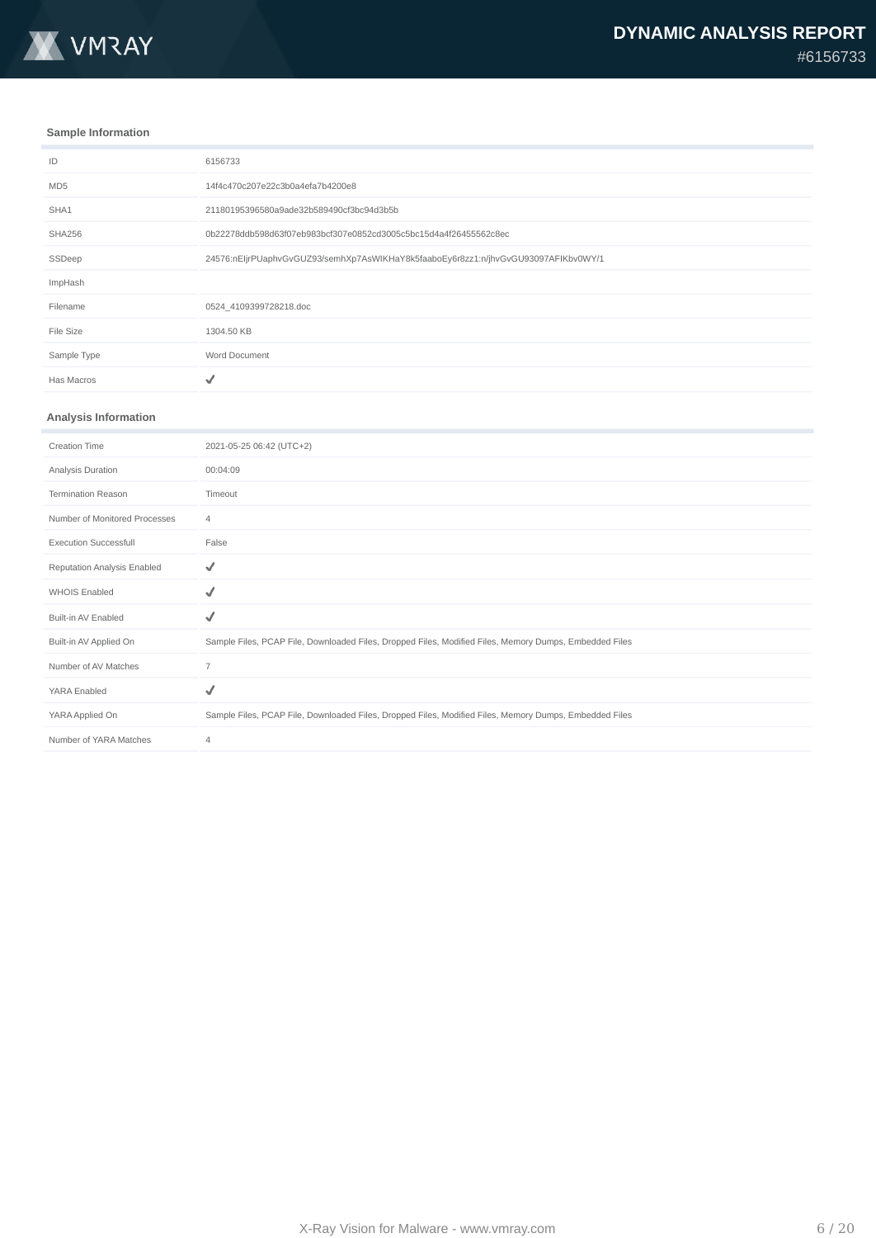

#### **Sample Information**

| ID              | 6156733                                                                            |
|-----------------|------------------------------------------------------------------------------------|
| MD <sub>5</sub> | 14f4c470c207e22c3b0a4efa7b4200e8                                                   |
| SHA1            | 21180195396580a9ade32b589490cf3bc94d3b5b                                           |
| SHA256          | 0b22278ddb598d63f07eb983bcf307e0852cd3005c5bc15d4a4f26455562c8ec                   |
| SSDeep          | 24576:nEljrPUaphvGvGUZ93/semhXp7AsWIKHaY8k5faaboEy6r8zz1:n/jhvGvGU93097AFIKbv0WY/1 |
| ImpHash         |                                                                                    |
| Filename        | 0524 4109399728218.doc                                                             |
| File Size       | 1304.50 KB                                                                         |
| Sample Type     | Word Document                                                                      |
| Has Macros      |                                                                                    |

#### **Analysis Information**

| <b>Creation Time</b>          | 2021-05-25 06:42 (UTC+2)                                                                               |
|-------------------------------|--------------------------------------------------------------------------------------------------------|
| <b>Analysis Duration</b>      | 00:04:09                                                                                               |
| <b>Termination Reason</b>     | Timeout                                                                                                |
| Number of Monitored Processes | $\overline{4}$                                                                                         |
| <b>Execution Successfull</b>  | False                                                                                                  |
| Reputation Analysis Enabled   | √                                                                                                      |
| <b>WHOIS Enabled</b>          | $\checkmark$                                                                                           |
| Built-in AV Enabled           | $\checkmark$                                                                                           |
| Built-in AV Applied On        | Sample Files, PCAP File, Downloaded Files, Dropped Files, Modified Files, Memory Dumps, Embedded Files |
| Number of AV Matches          | $\overline{7}$                                                                                         |
| YARA Enabled                  | $\checkmark$                                                                                           |
| YARA Applied On               | Sample Files, PCAP File, Downloaded Files, Dropped Files, Modified Files, Memory Dumps, Embedded Files |
| Number of YARA Matches        | $\overline{4}$                                                                                         |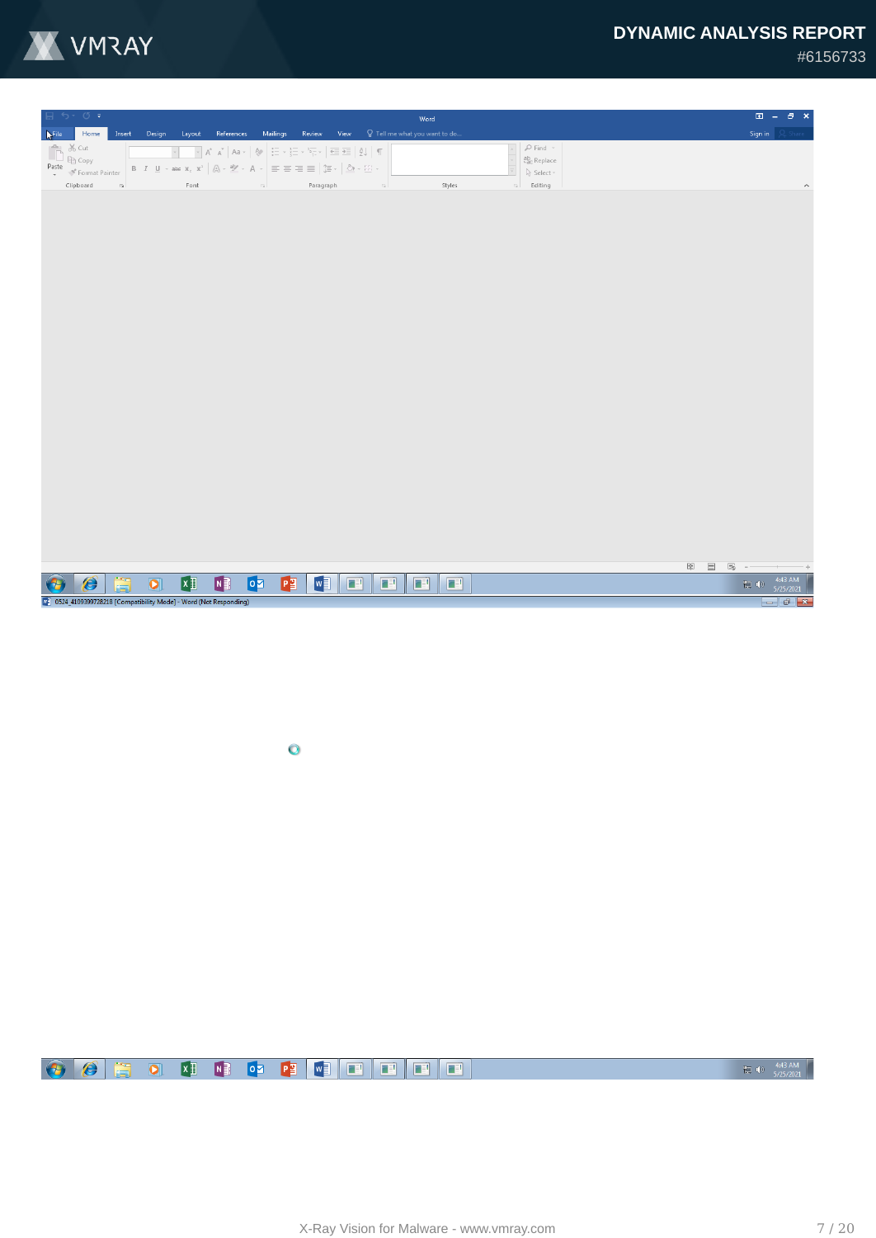

|                                                   | $\Box$ 5 $\cdot$ 0 $\cdot$                                                                                                                                |                  |                                                                                                                                                                                                                                                                                                                                                                                                                                                                      |        |                                                                                                                                                                                                                                                                                                                                                                                                                                                                                                                                                             |                           |   |           |        |         | Word                                    |        |                                      |  |   |        |                  | $E = 5$<br>$\mathbf{x}$ |  |
|---------------------------------------------------|-----------------------------------------------------------------------------------------------------------------------------------------------------------|------------------|----------------------------------------------------------------------------------------------------------------------------------------------------------------------------------------------------------------------------------------------------------------------------------------------------------------------------------------------------------------------------------------------------------------------------------------------------------------------|--------|-------------------------------------------------------------------------------------------------------------------------------------------------------------------------------------------------------------------------------------------------------------------------------------------------------------------------------------------------------------------------------------------------------------------------------------------------------------------------------------------------------------------------------------------------------------|---------------------------|---|-----------|--------|---------|-----------------------------------------|--------|--------------------------------------|--|---|--------|------------------|-------------------------|--|
| $\mathbf{A}^{\text{File}}$                        | Home<br>$\begin{tabular}{ c c } \hline $\mathbf{a}_1$ & $\mathbf{X}$ Cut \\ \hline $\mathbf{b}$ & \hline \mathbf{b} \text{ Copy} \\ \hline \end{tabular}$ | Insert           | Design                                                                                                                                                                                                                                                                                                                                                                                                                                                               | Layout | References Mailings<br>$\left\ \cdot\right\ A^{*}\left\ A^{*}\right\ \left\ Aa\right\ +\left\ \left\langle\!\!\left\langle\right.\right.\right\  \left\{\vdots\right.\right\} \left\ \left\{\vdots\right.\right.\right\  \left\ \cdot\right\  \left\ \cdot\right\  \left\ \cdot\right\  \left\ \cdot\right\  \left\ \cdot\right\  \left\ \cdot\right\  \left\ \cdot\right\  \left\ \cdot\right\  \left\ \cdot\right\  \left\ \cdot\right\  \left\ \cdot\right\  \left\ \cdot\right\  \left\ \cdot\right\  \left\ \cdot\right\  \left\ \cdot\right\  \left\$ |                           |   | Review    | View   |         | $\mathbb Q$ Tell me what you want to do |        | $O$ Find $\sim$                      |  |   |        | Sign in          |                         |  |
| $\ensuremath{\mathsf{P} \mathsf{aste}}$<br>$\sim$ | ₹ <sup>€</sup> Format Painter                                                                                                                             |                  | $\mathsf{B} \quad I \quad \underline{\mathsf{U}} \ \ \text{--}\ \text{abc}\ \ \mathsf{X}_2 \ \ \mathsf{X}^2 \ \Big \ \bigcirc \hspace{-0.04cm} \bigcirc \hspace{-0.04cm} \bigcirc \hspace{-0.04cm} \bigcirc \hspace{-0.04cm} \bigcirc \hspace{-0.04cm} \bigcirc \hspace{-0.04cm} \bigcirc \hspace{-0.04cm} \bigcirc \hspace{-0.04cm} \bigcirc \hspace{-0.04cm} \bigcirc \hspace{-0.04cm} \bigcirc \hspace{-0.04cm} \bigcirc \hspace{-0.04cm} \bigcirc \hspace{-0.04$ |        |                                                                                                                                                                                                                                                                                                                                                                                                                                                                                                                                                             |                           |   |           |        |         |                                         |        | ab Replace<br>☆ Select ~             |  |   |        |                  |                         |  |
|                                                   | Clipboard                                                                                                                                                 | $\Gamma_{\rm M}$ |                                                                                                                                                                                                                                                                                                                                                                                                                                                                      | Font   |                                                                                                                                                                                                                                                                                                                                                                                                                                                                                                                                                             | $\overline{\mathbb{Q}}$ . |   | Paragraph |        | $-\Box$ |                                         | Styles | $\overline{\mathbb{R}}$ .<br>Editing |  |   |        |                  | $\land$                 |  |
|                                                   |                                                                                                                                                           |                  |                                                                                                                                                                                                                                                                                                                                                                                                                                                                      |        |                                                                                                                                                                                                                                                                                                                                                                                                                                                                                                                                                             |                           |   |           |        |         |                                         |        |                                      |  |   |        |                  |                         |  |
|                                                   |                                                                                                                                                           |                  |                                                                                                                                                                                                                                                                                                                                                                                                                                                                      |        |                                                                                                                                                                                                                                                                                                                                                                                                                                                                                                                                                             |                           |   |           |        |         |                                         |        |                                      |  |   |        |                  |                         |  |
|                                                   |                                                                                                                                                           |                  |                                                                                                                                                                                                                                                                                                                                                                                                                                                                      |        |                                                                                                                                                                                                                                                                                                                                                                                                                                                                                                                                                             |                           |   |           |        |         |                                         |        |                                      |  |   |        |                  |                         |  |
|                                                   |                                                                                                                                                           |                  |                                                                                                                                                                                                                                                                                                                                                                                                                                                                      |        |                                                                                                                                                                                                                                                                                                                                                                                                                                                                                                                                                             |                           |   |           |        |         |                                         |        |                                      |  |   |        |                  |                         |  |
|                                                   |                                                                                                                                                           |                  |                                                                                                                                                                                                                                                                                                                                                                                                                                                                      |        |                                                                                                                                                                                                                                                                                                                                                                                                                                                                                                                                                             |                           |   |           |        |         |                                         |        |                                      |  |   |        |                  |                         |  |
|                                                   |                                                                                                                                                           |                  |                                                                                                                                                                                                                                                                                                                                                                                                                                                                      |        |                                                                                                                                                                                                                                                                                                                                                                                                                                                                                                                                                             |                           |   |           |        |         |                                         |        |                                      |  |   |        |                  |                         |  |
|                                                   |                                                                                                                                                           |                  |                                                                                                                                                                                                                                                                                                                                                                                                                                                                      |        |                                                                                                                                                                                                                                                                                                                                                                                                                                                                                                                                                             |                           |   |           |        |         |                                         |        |                                      |  |   |        |                  |                         |  |
|                                                   |                                                                                                                                                           |                  |                                                                                                                                                                                                                                                                                                                                                                                                                                                                      |        |                                                                                                                                                                                                                                                                                                                                                                                                                                                                                                                                                             |                           |   |           |        |         |                                         |        |                                      |  |   |        |                  |                         |  |
|                                                   |                                                                                                                                                           |                  |                                                                                                                                                                                                                                                                                                                                                                                                                                                                      |        |                                                                                                                                                                                                                                                                                                                                                                                                                                                                                                                                                             |                           |   |           |        |         |                                         |        |                                      |  |   |        |                  |                         |  |
|                                                   |                                                                                                                                                           |                  |                                                                                                                                                                                                                                                                                                                                                                                                                                                                      |        |                                                                                                                                                                                                                                                                                                                                                                                                                                                                                                                                                             |                           |   |           |        |         |                                         |        |                                      |  |   |        |                  |                         |  |
|                                                   |                                                                                                                                                           |                  |                                                                                                                                                                                                                                                                                                                                                                                                                                                                      |        |                                                                                                                                                                                                                                                                                                                                                                                                                                                                                                                                                             |                           |   |           |        |         |                                         |        |                                      |  |   |        |                  |                         |  |
|                                                   |                                                                                                                                                           |                  |                                                                                                                                                                                                                                                                                                                                                                                                                                                                      |        |                                                                                                                                                                                                                                                                                                                                                                                                                                                                                                                                                             |                           |   |           |        |         |                                         |        |                                      |  |   |        |                  |                         |  |
|                                                   |                                                                                                                                                           |                  |                                                                                                                                                                                                                                                                                                                                                                                                                                                                      |        |                                                                                                                                                                                                                                                                                                                                                                                                                                                                                                                                                             |                           |   |           |        |         |                                         |        |                                      |  |   |        |                  |                         |  |
|                                                   |                                                                                                                                                           |                  |                                                                                                                                                                                                                                                                                                                                                                                                                                                                      |        |                                                                                                                                                                                                                                                                                                                                                                                                                                                                                                                                                             |                           |   |           |        |         |                                         |        |                                      |  |   |        |                  |                         |  |
|                                                   |                                                                                                                                                           |                  |                                                                                                                                                                                                                                                                                                                                                                                                                                                                      |        |                                                                                                                                                                                                                                                                                                                                                                                                                                                                                                                                                             |                           |   |           |        |         |                                         |        |                                      |  |   |        |                  |                         |  |
|                                                   |                                                                                                                                                           |                  |                                                                                                                                                                                                                                                                                                                                                                                                                                                                      |        |                                                                                                                                                                                                                                                                                                                                                                                                                                                                                                                                                             |                           |   |           |        |         |                                         |        |                                      |  |   |        |                  |                         |  |
|                                                   |                                                                                                                                                           |                  |                                                                                                                                                                                                                                                                                                                                                                                                                                                                      |        |                                                                                                                                                                                                                                                                                                                                                                                                                                                                                                                                                             |                           |   |           |        |         |                                         |        |                                      |  |   |        |                  |                         |  |
|                                                   |                                                                                                                                                           |                  |                                                                                                                                                                                                                                                                                                                                                                                                                                                                      |        |                                                                                                                                                                                                                                                                                                                                                                                                                                                                                                                                                             |                           |   |           |        |         |                                         |        |                                      |  | 印 | $\Box$ | Fo<br>$\sim$ $-$ |                         |  |
| Œ                                                 | C                                                                                                                                                         | $\blacksquare$   | $\bullet$                                                                                                                                                                                                                                                                                                                                                                                                                                                            | x      | N                                                                                                                                                                                                                                                                                                                                                                                                                                                                                                                                                           | $\bullet$                 | ¢ | W         | $\Box$ | $\Box$  | $\Box$                                  | $\Box$ |                                      |  |   |        | 細中               | 4:43 AM<br>5/25/2021    |  |
|                                                   | 0524_4109399728218 [Compatibility Mode] - Word (Not Responding)                                                                                           |                  |                                                                                                                                                                                                                                                                                                                                                                                                                                                                      |        |                                                                                                                                                                                                                                                                                                                                                                                                                                                                                                                                                             |                           |   |           |        |         |                                         |        |                                      |  |   |        |                  | $\boxed{\phantom{a}}$   |  |
|                                                   |                                                                                                                                                           |                  |                                                                                                                                                                                                                                                                                                                                                                                                                                                                      |        |                                                                                                                                                                                                                                                                                                                                                                                                                                                                                                                                                             |                           |   |           |        |         |                                         |        |                                      |  |   |        |                  |                         |  |



 $\bullet$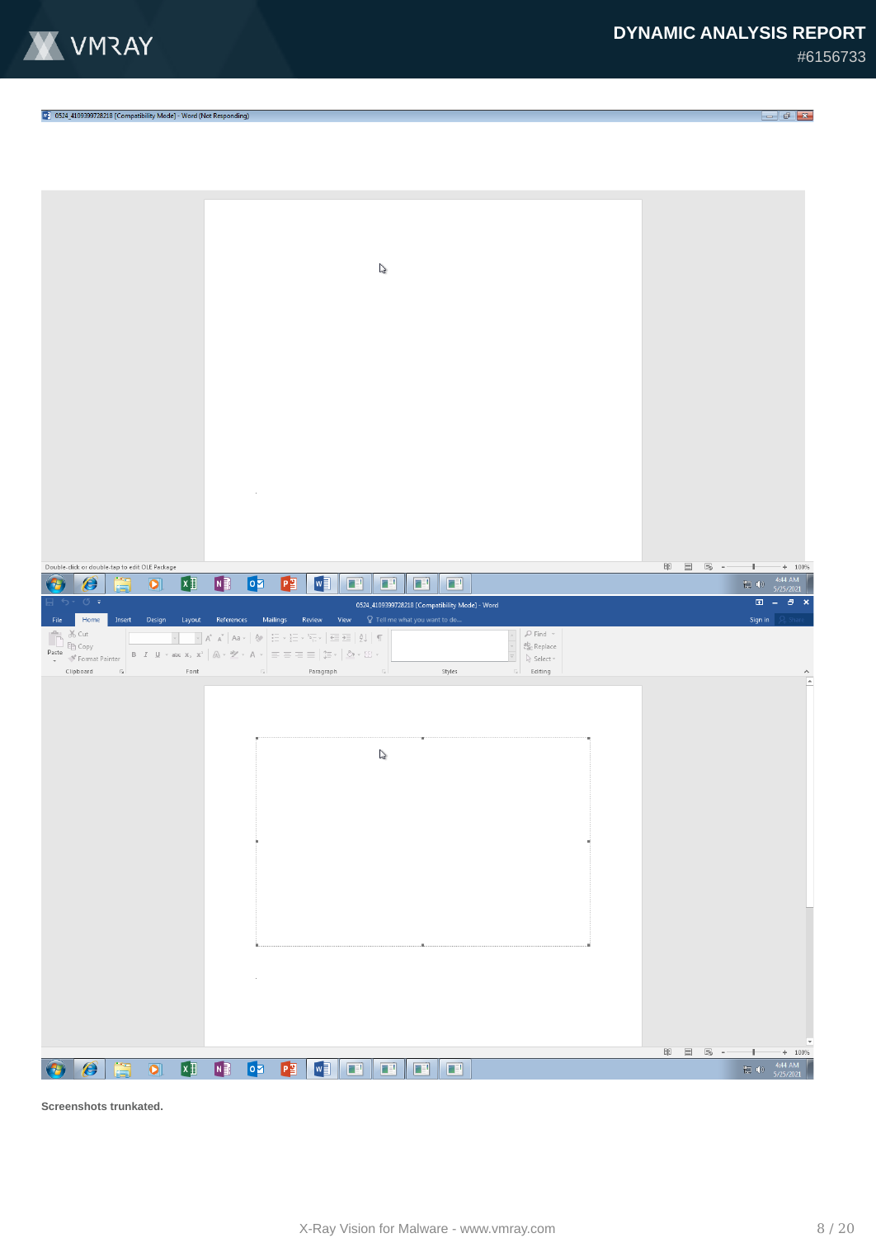

a de <mark>a X</mark>

| ■ ■ ■ -<br>$- + 100\%$<br>$4:44$ AM<br>5/25/2021<br>Ě<br>x<br>$\bullet$<br>中<br>N<br>W<br>C<br>$\Box$<br>$\Box$<br>01<br>$\Box$<br>$\bullet$<br>短中<br>国 - 日 X<br>$\circledcirc$ =<br>0524_4109399728218 [Compatibility Mode] - Word<br>${\sf Home}$<br>View<br>$\mathbb Q$ Tell me what you want to do<br>$_{\rm Insert}$<br>Design<br>Layout<br>References<br>Mailings<br>Review<br>Sign in<br>${\sf File}$<br>$\mathcal{P}$ Find $\preceq$<br>alla,<br>o Cut<br>$\left\ \cdot\right\ A^{*}\left\ A^{*}\right\ \left\ Aa\right\ +\left\ \left\ \frac{a}{a}\right\ _{2}\left\ \frac{a}{b}\right\ _{2}\leq\left\ \cdot\right\ _{2}\frac{a}{b}\leq\left\ \cdot\right\ _{2}\frac{a}{b}\leq\left\ \cdot\right\ _{2}\frac{a}{b}\leq\left\ \cdot\right\ _{2}\frac{a}{b}\leq\left\ \cdot\right\ _{2}\frac{a}{b}\leq\left\ \cdot\right\ _{2}\frac{a}{b}\leq\left\ \cdot\right\ _{2}\frac{a}{b}\leq\left\ \cdot\right\ _{2}\$<br>$\Box$<br>ab Replace<br>$\mathbb{F}_{\square}$ Copy<br>$\ensuremath{\mathsf{P} \mathsf{aste}}$<br>₹ <sup>€</sup> Format Painter<br>$\downarrow$ Select -<br>$\tau$<br>Clipboard<br>Font<br>Paragraph<br>$-\frac{1}{2}$<br>Styles<br>$\sqrt{2}$ Editing<br>$\overline{\mathbb{D}}$<br>$\overline{\mathbb{Q}}$ .<br>$\boldsymbol{\wedge}$<br>$\overline{\mathbb{R}}$<br>$\mathcal{L}$<br>$\sim$<br>$\overline{\phantom{a}}$<br>$\mathbb{R}^n$<br>$\Box$<br>$\Box$<br>$\Box$<br>$\blacksquare$ |                                                          | $\sim$         | $\mathcal{L}$ |                    |
|---------------------------------------------------------------------------------------------------------------------------------------------------------------------------------------------------------------------------------------------------------------------------------------------------------------------------------------------------------------------------------------------------------------------------------------------------------------------------------------------------------------------------------------------------------------------------------------------------------------------------------------------------------------------------------------------------------------------------------------------------------------------------------------------------------------------------------------------------------------------------------------------------------------------------------------------------------------------------------------------------------------------------------------------------------------------------------------------------------------------------------------------------------------------------------------------------------------------------------------------------------------------------------------------------------------------------------------------------------------------------------------------------------------------|----------------------------------------------------------|----------------|---------------|--------------------|
|                                                                                                                                                                                                                                                                                                                                                                                                                                                                                                                                                                                                                                                                                                                                                                                                                                                                                                                                                                                                                                                                                                                                                                                                                                                                                                                                                                                                                     | Double-click or double-tap to edit OLE Package           |                |               |                    |
|                                                                                                                                                                                                                                                                                                                                                                                                                                                                                                                                                                                                                                                                                                                                                                                                                                                                                                                                                                                                                                                                                                                                                                                                                                                                                                                                                                                                                     |                                                          |                |               |                    |
|                                                                                                                                                                                                                                                                                                                                                                                                                                                                                                                                                                                                                                                                                                                                                                                                                                                                                                                                                                                                                                                                                                                                                                                                                                                                                                                                                                                                                     |                                                          |                |               |                    |
|                                                                                                                                                                                                                                                                                                                                                                                                                                                                                                                                                                                                                                                                                                                                                                                                                                                                                                                                                                                                                                                                                                                                                                                                                                                                                                                                                                                                                     |                                                          |                |               |                    |
|                                                                                                                                                                                                                                                                                                                                                                                                                                                                                                                                                                                                                                                                                                                                                                                                                                                                                                                                                                                                                                                                                                                                                                                                                                                                                                                                                                                                                     |                                                          |                |               |                    |
|                                                                                                                                                                                                                                                                                                                                                                                                                                                                                                                                                                                                                                                                                                                                                                                                                                                                                                                                                                                                                                                                                                                                                                                                                                                                                                                                                                                                                     | $\Box$<br>X<br>$\bullet$<br>$\mathcal{C}$<br>$\bigoplus$ | N<br>$\bullet$ | W             | <b>(a)</b> 4:44 AM |

**Screenshots trunkated.**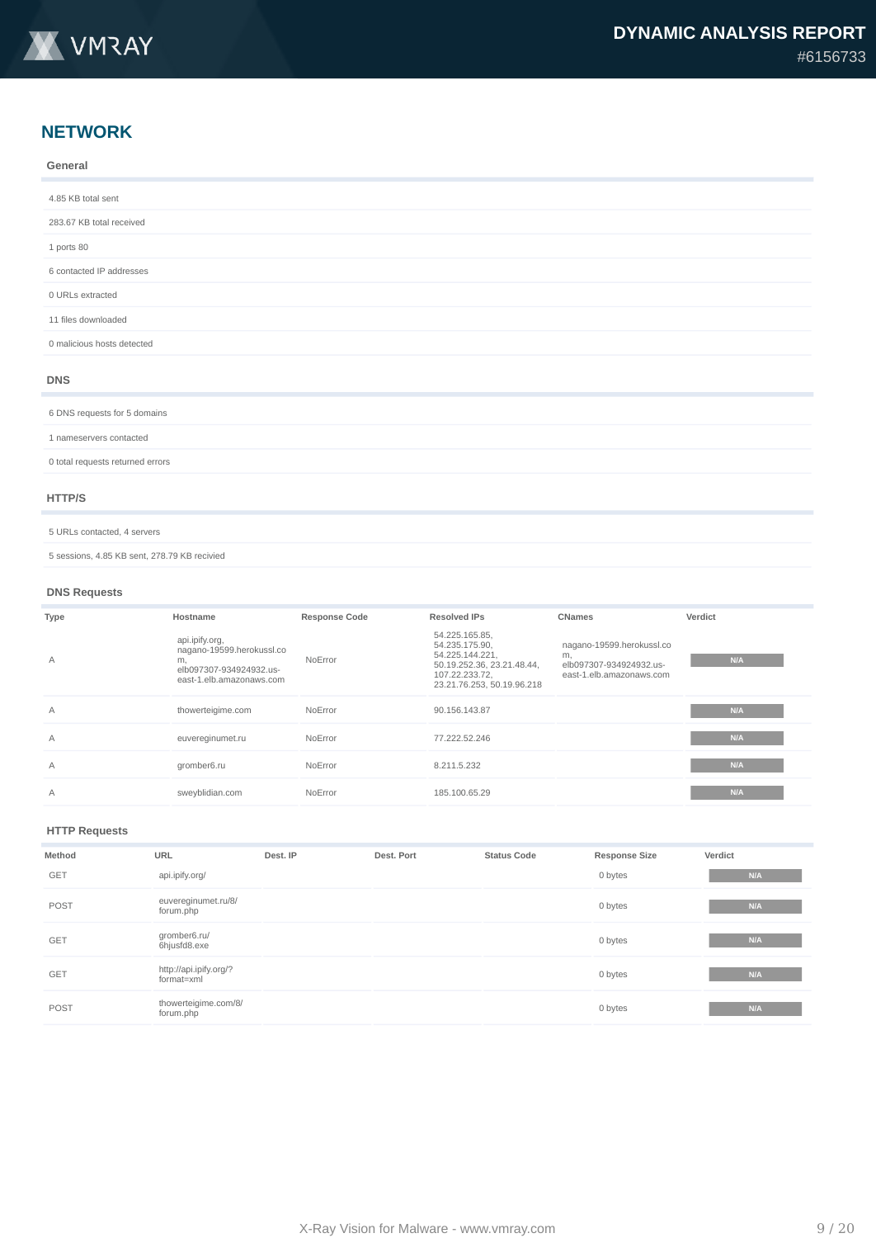

## **NETWORK**

| General                          |
|----------------------------------|
| 4.85 KB total sent               |
| 283.67 KB total received         |
| 1 ports 80                       |
| 6 contacted IP addresses         |
| 0 URLs extracted                 |
| 11 files downloaded              |
| 0 malicious hosts detected       |
| <b>DNS</b>                       |
| 6 DNS requests for 5 domains     |
| 1 nameservers contacted          |
| 0 total requests returned errors |

#### **HTTP/S**

5 URLs contacted, 4 servers

5 sessions, 4.85 KB sent, 278.79 KB recivied

#### **DNS Requests**

| Type | Hostname                                                                                                 | <b>Response Code</b> | Resolved IPs                                                                                                                      | <b>CNames</b>                                                                          | Verdict    |
|------|----------------------------------------------------------------------------------------------------------|----------------------|-----------------------------------------------------------------------------------------------------------------------------------|----------------------------------------------------------------------------------------|------------|
| A    | api.ipify.org,<br>nagano-19599.herokussl.co<br>m.<br>elb097307-934924932.us-<br>east-1.elb.amazonaws.com | NoError              | 54.225.165.85,<br>54.235.175.90.<br>54.225.144.221.<br>50.19.252.36, 23.21.48.44,<br>107.22.233.72.<br>23.21.76.253, 50.19.96.218 | nagano-19599.herokussl.co<br>m.<br>elb097307-934924932.us-<br>east-1.elb.amazonaws.com | N/A        |
| A    | thowerteigime.com                                                                                        | NoError              | 90.156.143.87                                                                                                                     |                                                                                        | N/A        |
| A    | euvereginumet.ru                                                                                         | NoError              | 77.222.52.246                                                                                                                     |                                                                                        | N/A        |
| A    | gromber6.ru                                                                                              | NoError              | 8.211.5.232                                                                                                                       |                                                                                        | <b>N/A</b> |
| A    | sweyblidian.com                                                                                          | NoError              | 185.100.65.29                                                                                                                     |                                                                                        | N/A        |

#### **HTTP Requests**

| Method     | <b>URL</b>                           | Dest. IP | Dest. Port | <b>Status Code</b> | <b>Response Size</b> | Verdict    |
|------------|--------------------------------------|----------|------------|--------------------|----------------------|------------|
| <b>GET</b> | api.ipify.org/                       |          |            |                    | 0 bytes              | <b>N/A</b> |
| POST       | euvereginumet.ru/8/<br>forum.php     |          |            |                    | 0 bytes              | <b>N/A</b> |
| <b>GET</b> | gromber6.ru/<br>6hjusfd8.exe         |          |            |                    | 0 bytes              | N/A        |
| <b>GET</b> | http://api.ipify.org/?<br>format=xml |          |            |                    | 0 bytes              | N/A        |
| POST       | thowerteigime.com/8/<br>forum.php    |          |            |                    | 0 bytes              | N/A        |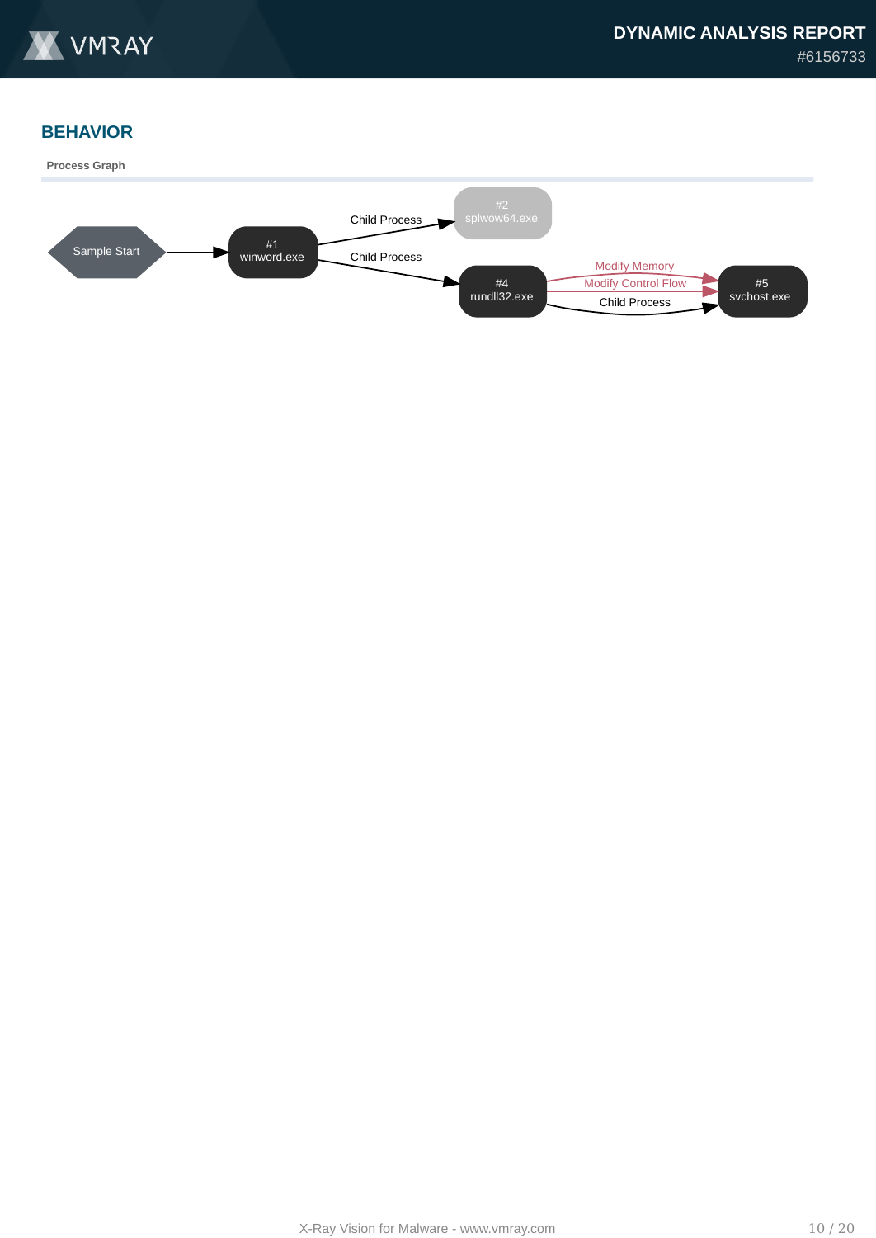

# **BEHAVIOR**

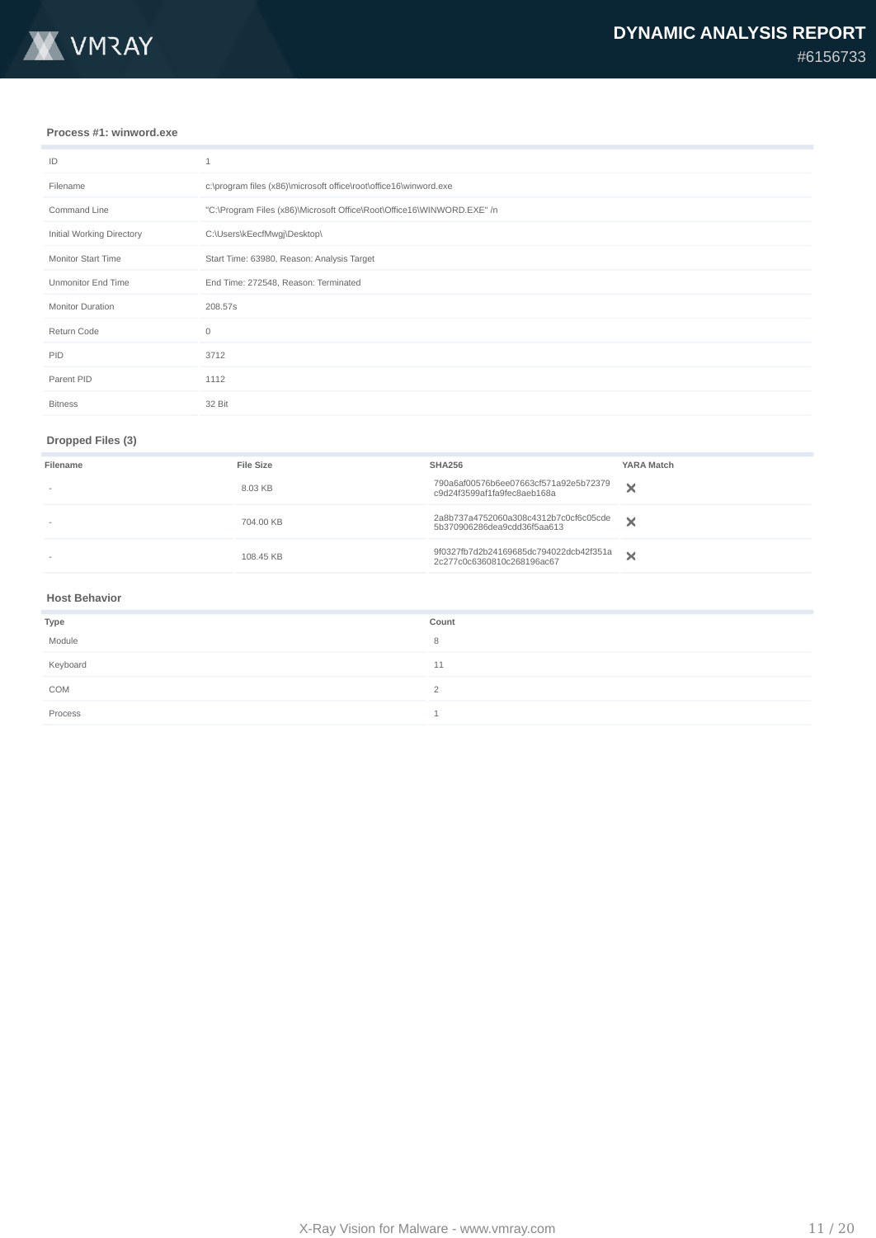

#### **Process #1: winword.exe**

| ID                        |                                                                        |
|---------------------------|------------------------------------------------------------------------|
| Filename                  | c:\program files (x86)\microsoft office\root\office16\winword.exe      |
| Command Line              | "C:\Program Files (x86)\Microsoft Office\Root\Office16\WINWORD.EXE" /n |
| Initial Working Directory | C:\Users\kEecfMwgj\Desktop\                                            |
| Monitor Start Time        | Start Time: 63980, Reason: Analysis Target                             |
| Unmonitor End Time        | End Time: 272548, Reason: Terminated                                   |
| <b>Monitor Duration</b>   | 208.57s                                                                |
| Return Code               | $\mathbf{0}$                                                           |
| PID                       | 3712                                                                   |
| Parent PID                | 1112                                                                   |
| <b>Bitness</b>            | 32 Bit                                                                 |

#### **Dropped Files (3)**

| Filename | File Size | <b>SHA256</b>                                                        | YARA Match |
|----------|-----------|----------------------------------------------------------------------|------------|
|          | 8.03 KB   | 790a6af00576b6ee07663cf571a92e5b72379<br>c9d24f3599af1fa9fec8aeb168a | ×          |
|          | 704.00 KB | 2a8b737a4752060a308c4312b7c0cf6c05cde<br>5b370906286dea9cdd36f5aa613 | $\times$   |
|          | 108.45 KB | 9f0327fb7d2b24169685dc794022dcb42f351a<br>2c277c0c6360810c268196ac67 | $\times$   |

#### **Host Behavior**

| Type     | Count         |
|----------|---------------|
| Module   | 8             |
| Keyboard | 11            |
| COM      | $\mathcal{L}$ |
| Process  |               |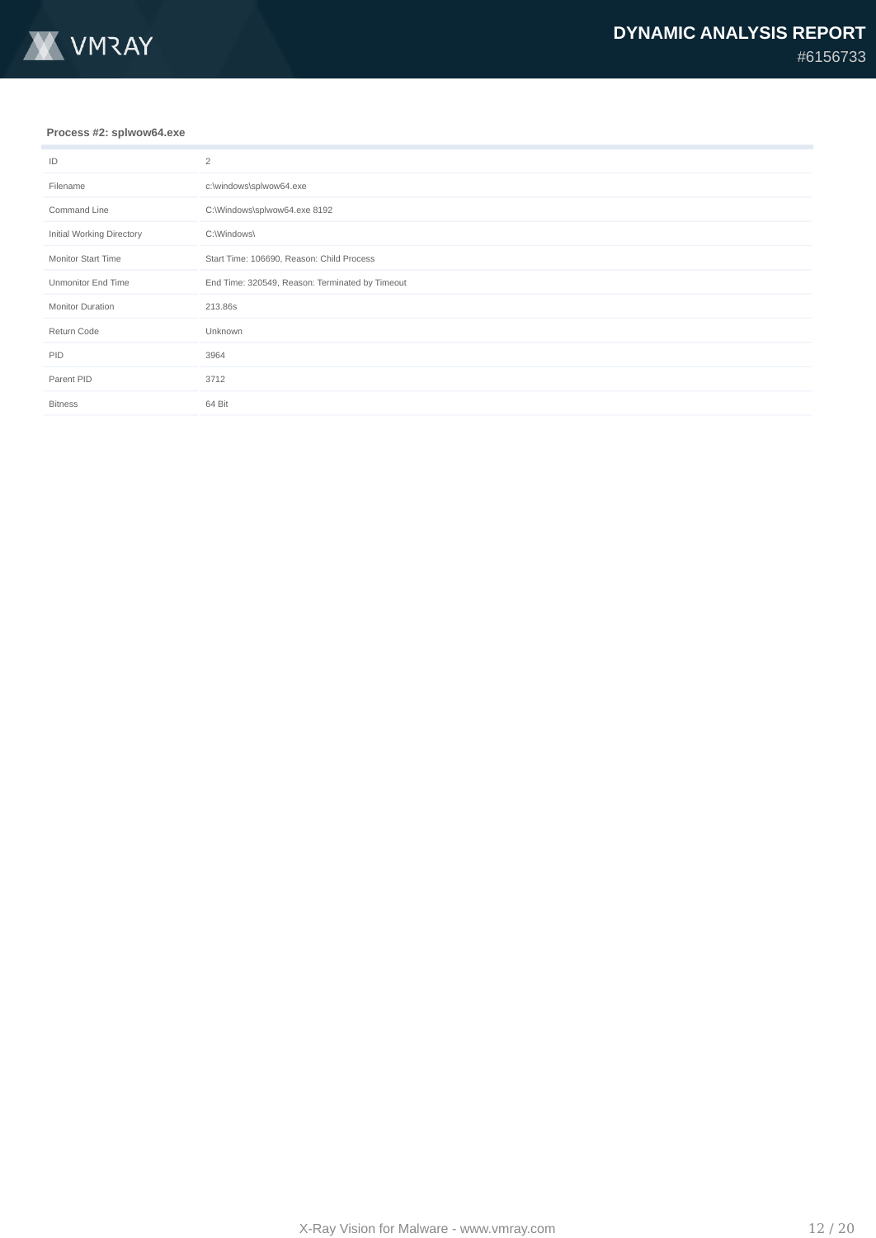

#### **Process #2: splwow64.exe**

| ID                        | $\overline{2}$                                  |
|---------------------------|-------------------------------------------------|
| Filename                  | c:\windows\splwow64.exe                         |
| Command Line              | C:\Windows\splwow64.exe 8192                    |
| Initial Working Directory | C:\Windows\                                     |
| Monitor Start Time        | Start Time: 106690, Reason: Child Process       |
| Unmonitor End Time        | End Time: 320549, Reason: Terminated by Timeout |
| Monitor Duration          | 213.86s                                         |
| Return Code               | Unknown                                         |
| PID                       | 3964                                            |
| Parent PID                | 3712                                            |
| <b>Bitness</b>            | 64 Bit                                          |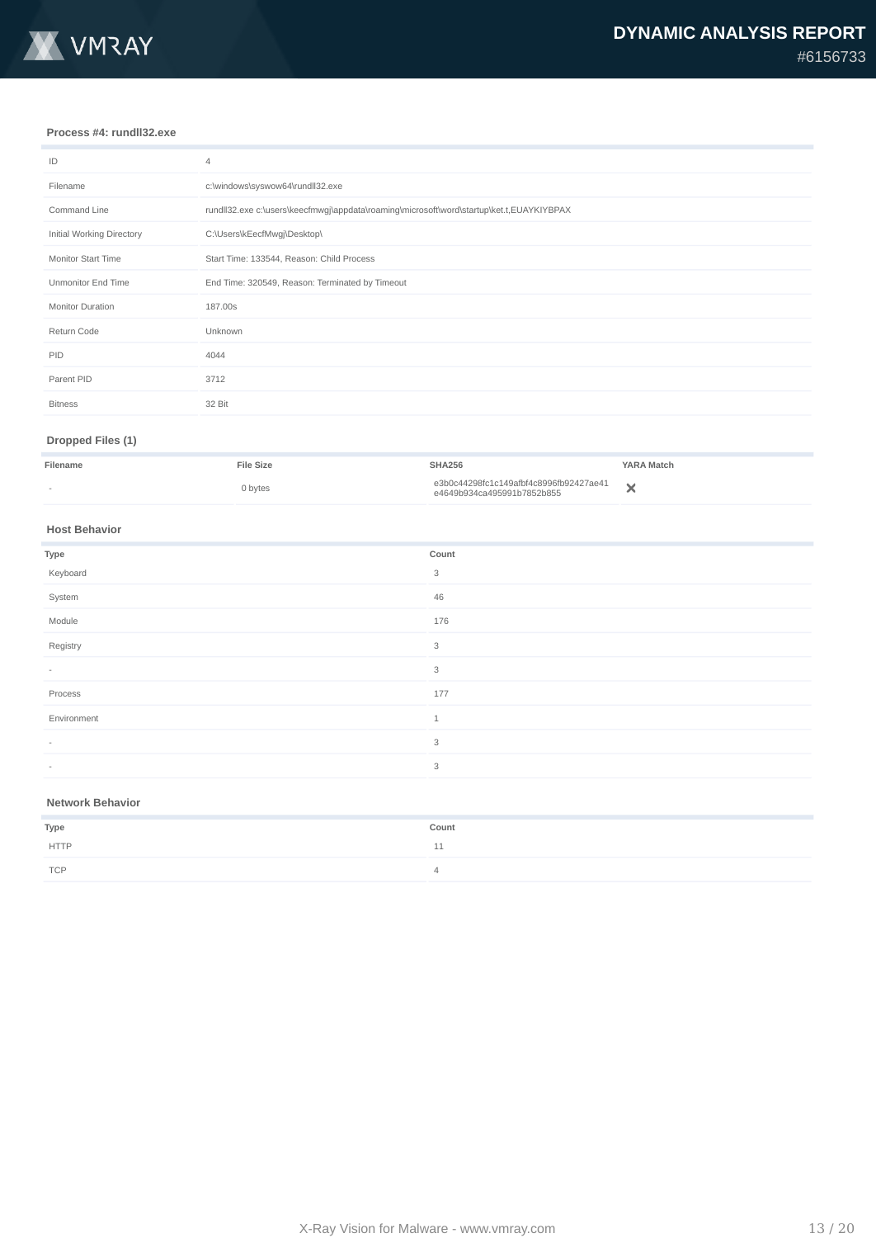

#### **Process #4: rundll32.exe**

| ID                        | 4                                                                                        |
|---------------------------|------------------------------------------------------------------------------------------|
| Filename                  | c:\windows\syswow64\rundll32.exe                                                         |
| Command Line              | rundll32.exe c:\users\keecfmwgj\appdata\roaming\microsoft\word\startup\ket.t,EUAYKIYBPAX |
| Initial Working Directory | C:\Users\kEecfMwgj\Desktop\                                                              |
| <b>Monitor Start Time</b> | Start Time: 133544, Reason: Child Process                                                |
| Unmonitor End Time        | End Time: 320549, Reason: Terminated by Timeout                                          |
| <b>Monitor Duration</b>   | 187.00s                                                                                  |
| Return Code               | Unknown                                                                                  |
| PID                       | 4044                                                                                     |
| Parent PID                | 3712                                                                                     |
| <b>Bitness</b>            | 32 Bit                                                                                   |

#### **Dropped Files (1)**

| Filename | File Size | <b>SHA256</b>                                                        | YARA Match |
|----------|-----------|----------------------------------------------------------------------|------------|
|          | 0 bytes   | e3b0c44298fc1c149afbf4c8996fb92427ae41<br>e4649b934ca495991b7852b855 |            |

#### **Host Behavior**

| Count |
|-------|
| 3     |
| 46    |
| 176   |
| 3     |
| 3     |
| 177   |
| $1\,$ |
| 3     |
| 3     |
|       |

#### **Network Behavior**

| Type        | Count |
|-------------|-------|
| <b>HTTP</b> | 11    |
| <b>TCP</b>  | 4     |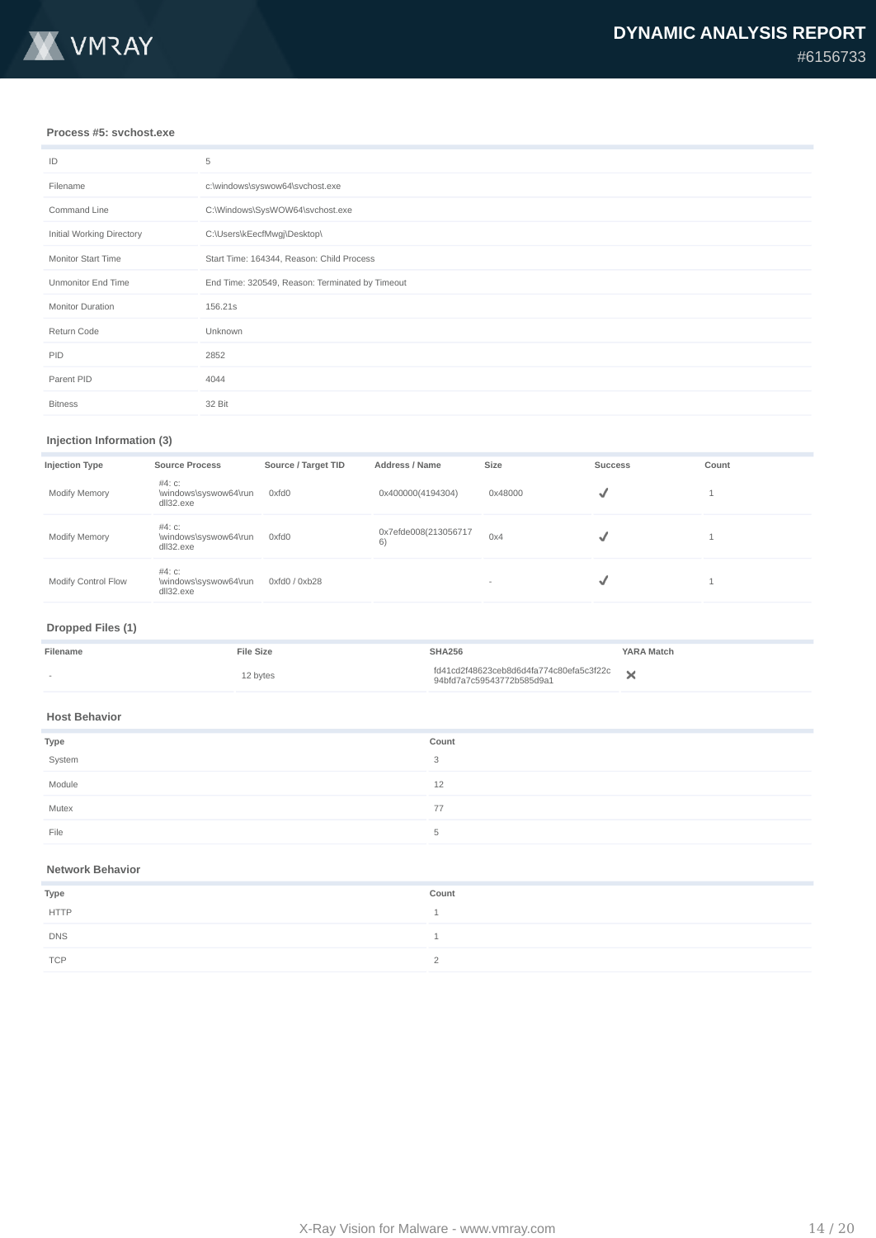

#### **Process #5: svchost.exe**

| ID                        | 5                                               |
|---------------------------|-------------------------------------------------|
| Filename                  | c:\windows\syswow64\svchost.exe                 |
| Command Line              | C:\Windows\SysWOW64\svchost.exe                 |
| Initial Working Directory | C:\Users\kEecfMwgj\Desktop\                     |
| Monitor Start Time        | Start Time: 164344, Reason: Child Process       |
| Unmonitor End Time        | End Time: 320549, Reason: Terminated by Timeout |
| <b>Monitor Duration</b>   | 156.21s                                         |
| Return Code               | Unknown                                         |
| PID                       | 2852                                            |
| Parent PID                | 4044                                            |
| <b>Bitness</b>            | 32 Bit                                          |

#### **Injection Information (3)**

| <b>Injection Type</b> | <b>Source Process</b>                           | Source / Target TID | Address / Name             | Size                     | <b>Success</b> | Count |
|-----------------------|-------------------------------------------------|---------------------|----------------------------|--------------------------|----------------|-------|
| Modify Memory         | #4: $c$ :<br>\windows\syswow64\run<br>dll32.exe | 0xfd0               | 0x400000(4194304)          | 0x48000                  | v              |       |
| Modify Memory         | #4: $c$ :<br>\windows\syswow64\run<br>dll32.exe | 0xfd0               | 0x7efde008(213056717<br>6) | 0x4                      |                |       |
| Modify Control Flow   | #4: $c$ :<br>\windows\syswow64\run<br>dll32.exe | 0xfd0/0xb28         |                            | $\overline{\phantom{a}}$ | v              |       |

#### **Dropped Files (1)**

| Filename | File Size | <b>SHA256</b>                                                        | <b>YARA Match</b> |
|----------|-----------|----------------------------------------------------------------------|-------------------|
|          | 12 bytes  | fd41cd2f48623ceb8d6d4fa774c80efa5c3f22c<br>94bfd7a7c59543772b585d9a1 |                   |

#### **Host Behavior**

| Type   | Count  |
|--------|--------|
| System | 3      |
| Module | 12     |
| Mutex  | 77     |
| File   | -<br>ь |

#### **Network Behavior**

| Type        | Count  |
|-------------|--------|
| <b>HTTP</b> |        |
| <b>DNS</b>  |        |
| <b>TCP</b>  | $\sim$ |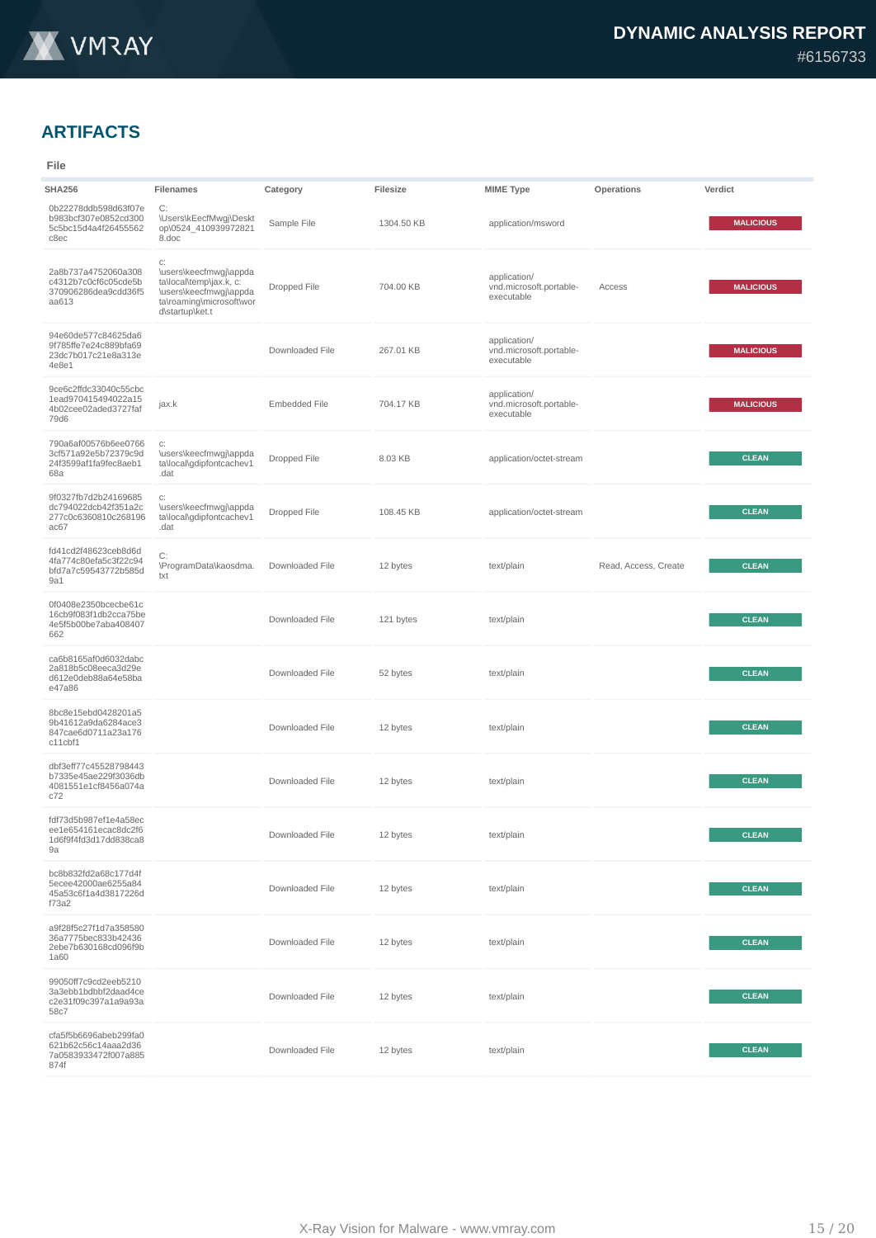

# **ARTIFACTS**

#### **File**

| <b>SHA256</b>                                                                | <b>Filenames</b>                                                                                                                 | Category        | Filesize   | <b>MIME Type</b>                                      | Operations           | Verdict          |
|------------------------------------------------------------------------------|----------------------------------------------------------------------------------------------------------------------------------|-----------------|------------|-------------------------------------------------------|----------------------|------------------|
| 0b22278ddb598d63f07e<br>b983bcf307e0852cd300<br>5c5bc15d4a4f26455562<br>c8ec | C:<br>\Users\kEecfMwgj\Deskt<br>op\0524 410939972821<br>8.doc                                                                    | Sample File     | 1304.50 KB | application/msword                                    |                      | <b>MALICIOUS</b> |
| 2a8b737a4752060a308<br>c4312b7c0cf6c05cde5b<br>370906286dea9cdd36f5<br>aa613 | C.<br>\users\keecfmwgj\appda<br>ta\local\temp\jax.k, c:<br>\users\keecfmwgj\appda<br>ta\roaming\microsoft\wor<br>d\startup\ket.t | Dropped File    | 704.00 KB  | application/<br>vnd.microsoft.portable-<br>executable | Access               | <b>MALICIOUS</b> |
| 94e60de577c84625da6<br>9f785ffe7e24c889bfa69<br>23dc7b017c21e8a313e<br>4e8e1 |                                                                                                                                  | Downloaded File | 267.01 KB  | application/<br>vnd.microsoft.portable-<br>executable |                      | <b>MALICIOUS</b> |
| 9ce6c2ffdc33040c55cbc<br>1ead970415494022a15<br>4b02cee02aded3727faf<br>79d6 | jax.k                                                                                                                            | Embedded File   | 704.17 KB  | application/<br>vnd.microsoft.portable-<br>executable |                      | <b>MALICIOUS</b> |
| 790a6af00576b6ee0766<br>3cf571a92e5b72379c9d<br>24f3599af1fa9fec8aeb1<br>68a | C.<br>\users\keecfmwgj\appda<br>ta\local\gdipfontcachev1<br>.dat                                                                 | Dropped File    | 8.03 KB    | application/octet-stream                              |                      | <b>CLEAN</b>     |
| 9f0327fb7d2b24169685<br>dc794022dcb42f351a2c<br>277c0c6360810c268196<br>ac67 | $C$ :<br>\users\keecfmwgj\appda<br>ta\local\gdipfontcachev1<br>.dat                                                              | Dropped File    | 108.45 KB  | application/octet-stream                              |                      | <b>CLEAN</b>     |
| fd41cd2f48623ceb8d6d<br>4fa774c80efa5c3f22c94<br>bfd7a7c59543772b585d<br>9a1 | C:<br>\ProgramData\kaosdma.<br>txt                                                                                               | Downloaded File | 12 bytes   | text/plain                                            | Read, Access, Create | <b>CLEAN</b>     |
| 0f0408e2350bcecbe61c<br>16cb9f083f1db2cca75be<br>4e5f5b00be7aba408407<br>662 |                                                                                                                                  | Downloaded File | 121 bytes  | text/plain                                            |                      | <b>CLEAN</b>     |
| ca6b8165af0d6032dabc<br>2a818b5c08eeca3d29e<br>d612e0deb88a64e58ba<br>e47a86 |                                                                                                                                  | Downloaded File | 52 bytes   | text/plain                                            |                      | <b>CLEAN</b>     |
| 8bc8e15ebd0428201a5<br>9b41612a9da6284ace3<br>847cae6d0711a23a176<br>c11cbf1 |                                                                                                                                  | Downloaded File | 12 bytes   | text/plain                                            |                      | <b>CLEAN</b>     |
| dbf3eff77c45528798443<br>b7335e45ae229f3036db<br>4081551e1cf8456a074a<br>c72 |                                                                                                                                  | Downloaded File | 12 bytes   | text/plain                                            |                      | <b>CLEAN</b>     |
| fdf73d5b987ef1e4a58ec<br>ee1e654161ecac8dc2f6<br>100191410301/00838ca8<br>9a |                                                                                                                                  | Downloaded File | 12 bytes   | text/plain                                            |                      | <b>CLEAN</b>     |
| bc8b832fd2a68c177d4f<br>5ecee42000ae6255a84<br>45a53c6f1a4d3817226d<br>f73a2 |                                                                                                                                  | Downloaded File | 12 bytes   | text/plain                                            |                      | <b>CLEAN</b>     |
| a9f28f5c27f1d7a358580<br>36a7775bec833b42436<br>2ebe7b630168cd096f9b<br>1a60 |                                                                                                                                  | Downloaded File | 12 bytes   | text/plain                                            |                      | <b>CLEAN</b>     |
| 99050ff7c9cd2eeb5210<br>3a3ebb1bdbbf2daad4ce<br>c2e31f09c397a1a9a93a<br>58c7 |                                                                                                                                  | Downloaded File | 12 bytes   | text/plain                                            |                      | <b>CLEAN</b>     |
| cfa5f5b6696abeb299fa0<br>621b62c56c14aaa2d36<br>7a0583933472f007a885<br>874f |                                                                                                                                  | Downloaded File | 12 bytes   | text/plain                                            |                      | <b>CLEAN</b>     |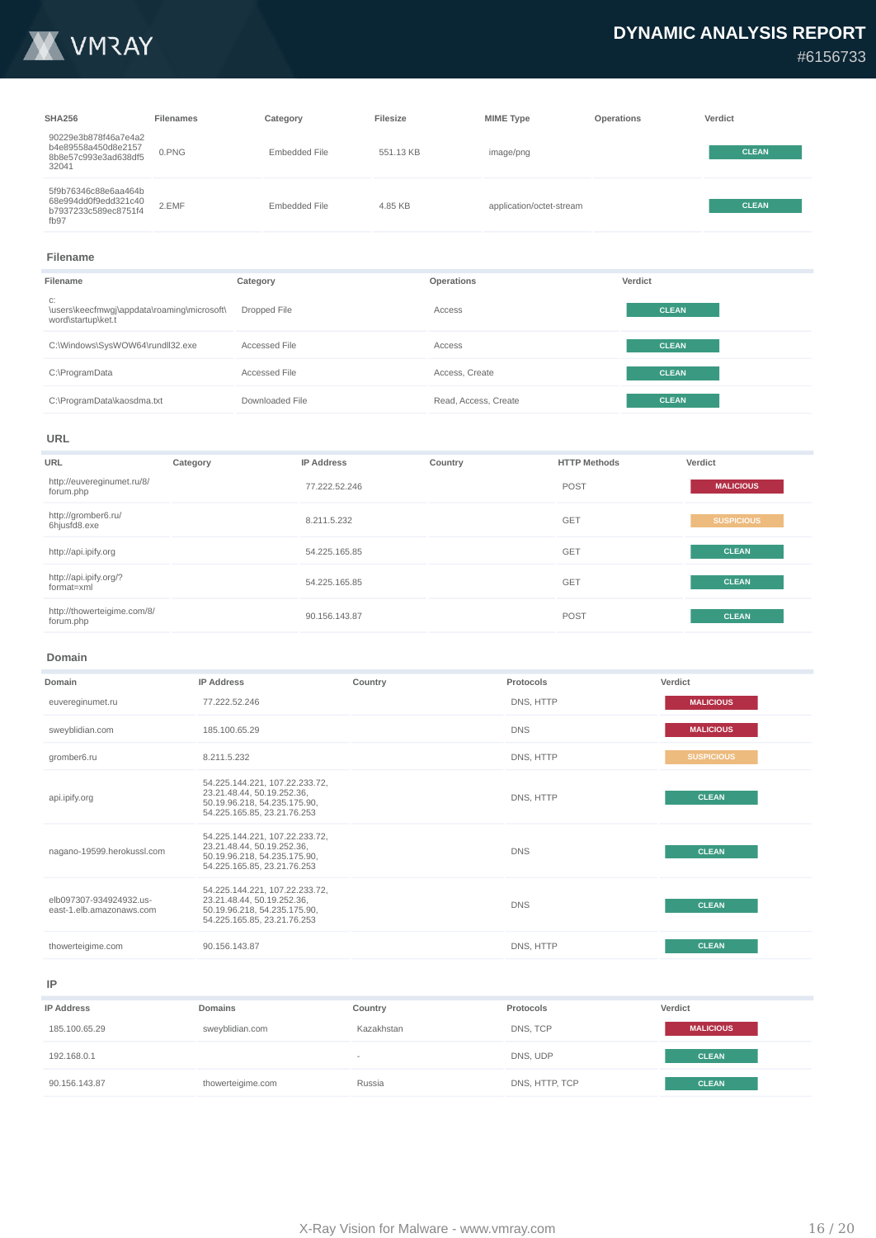

# **DYNAMIC ANALYSIS REPORT**

|  | #6156733 |  |
|--|----------|--|
|  |          |  |

| <b>SHA256</b><br>90229e3b878f46a7e4a2<br>b4e89558a450d8e2157<br>8b8e57c993e3ad638df5  | Filenames<br>0.PNG | Category<br>Embedded File                                                                                                   |                   | Filesize<br>551.13 KB |                      | <b>MIME Type</b><br>image/png | Operations          |              | Verdict<br><b>CLEAN</b> |
|---------------------------------------------------------------------------------------|--------------------|-----------------------------------------------------------------------------------------------------------------------------|-------------------|-----------------------|----------------------|-------------------------------|---------------------|--------------|-------------------------|
| 32041<br>5f9b76346c88e6aa464b<br>68e994dd0f9edd321c40<br>b7937233c589ec8751f4<br>fb97 | 2.EMF              | Embedded File                                                                                                               |                   | 4.85 KB               |                      | application/octet-stream      |                     |              | <b>CLEAN</b>            |
| Filename                                                                              |                    |                                                                                                                             |                   |                       |                      |                               |                     |              |                         |
| Filename                                                                              |                    | Category                                                                                                                    |                   |                       | Operations           |                               | Verdict             |              |                         |
| С.<br>\users\keecfmwgj\appdata\roaming\microsoft\<br>word\startup\ket.t               |                    | Dropped File                                                                                                                |                   |                       | Access               |                               |                     | <b>CLEAN</b> |                         |
| C:\Windows\SysWOW64\rundll32.exe                                                      |                    | <b>Accessed File</b>                                                                                                        |                   |                       | Access               |                               |                     | <b>CLEAN</b> |                         |
| C:\ProgramData                                                                        |                    | Accessed File                                                                                                               |                   |                       | Access, Create       |                               |                     | <b>CLEAN</b> |                         |
| C:\ProgramData\kaosdma.txt                                                            |                    | Downloaded File                                                                                                             |                   |                       | Read, Access, Create |                               |                     | <b>CLEAN</b> |                         |
| URL                                                                                   |                    |                                                                                                                             |                   |                       |                      |                               |                     |              |                         |
| URL                                                                                   | Category           |                                                                                                                             | <b>IP Address</b> |                       | Country              |                               | <b>HTTP Methods</b> | Verdict      |                         |
| http://euvereginumet.ru/8/<br>forum.php                                               |                    |                                                                                                                             | 77.222.52.246     |                       |                      |                               | POST                |              | <b>MALICIOUS</b>        |
| http://gromber6.ru/<br>6hjusfd8.exe                                                   |                    |                                                                                                                             | 8.211.5.232       |                       |                      |                               | <b>GET</b>          |              | <b>SUSPICIOUS</b>       |
| http://api.ipify.org                                                                  |                    |                                                                                                                             | 54.225.165.85     |                       |                      |                               | <b>GET</b>          |              | <b>CLEAN</b>            |
| http://api.ipify.org/?<br>format=xml                                                  |                    |                                                                                                                             | 54.225.165.85     |                       |                      |                               | <b>GET</b>          |              | <b>CLEAN</b>            |
| http://thowerteigime.com/8/<br>forum.php                                              |                    |                                                                                                                             | 90.156.143.87     |                       |                      |                               | POST                |              | <b>CLEAN</b>            |
| Domain                                                                                |                    |                                                                                                                             |                   |                       |                      |                               |                     |              |                         |
| Domain                                                                                | <b>IP Address</b>  |                                                                                                                             |                   | Country               |                      | Protocols                     |                     | Verdict      |                         |
| euvereginumet.ru                                                                      | 77.222.52.246      |                                                                                                                             |                   |                       |                      | DNS, HTTP                     |                     |              | <b>MALICIOUS</b>        |
| sweyblidian.com                                                                       | 185.100.65.29      |                                                                                                                             |                   |                       |                      | <b>DNS</b>                    |                     |              | <b>MALICIOUS</b>        |
| gromber6.ru                                                                           | 8.211.5.232        |                                                                                                                             |                   |                       |                      | DNS, HTTP                     |                     |              | <b>SUSPICIOUS</b>       |
| api.ipify.org                                                                         |                    | 54.225.144.221, 107.22.233.72,<br>23.21.48.44, 50.19.252.36,<br>50.19.96.218, 54.235.175.90,<br>54.225.165.85, 23.21.76.253 |                   |                       |                      | DNS, HTTP                     |                     |              | <b>CLEAN</b>            |
| nagano-19599.herokussl.com                                                            |                    | 54.225.144.221, 107.22.233.72,<br>23.21.48.44, 50.19.252.36,<br>50.19.96.218, 54.235.175.90,<br>54.225.165.85, 23.21.76.253 |                   |                       |                      | <b>DNS</b>                    |                     |              | <b>CLEAN</b>            |
| elb097307-934924932.us-<br>east-1.elb.amazonaws.com                                   |                    | 54.225.144.221, 107.22.233.72,<br>23.21.48.44, 50.19.252.36,<br>50.19.96.218, 54.235.175.90,<br>54.225.165.85, 23.21.76.253 |                   |                       |                      | <b>DNS</b>                    |                     |              | <b>CLEAN</b>            |
| thowerteigime.com                                                                     | 90.156.143.87      |                                                                                                                             |                   |                       |                      | DNS, HTTP                     |                     |              | <b>CLEAN</b>            |
| ΙP                                                                                    |                    |                                                                                                                             |                   |                       |                      |                               |                     |              |                         |
| IP Address                                                                            | Domains            |                                                                                                                             |                   | Country               |                      | Protocols                     |                     | Verdict      |                         |
| 185.100.65.29                                                                         |                    | sweyblidian.com                                                                                                             |                   | Kazakhstan            |                      | DNS, TCP                      |                     |              | <b>MALICIOUS</b>        |
| 192.168.0.1                                                                           |                    |                                                                                                                             | ÷                 |                       |                      | DNS, UDP                      |                     |              | <b>CLEAN</b>            |
| 90.156.143.87                                                                         |                    | thowerteigime.com                                                                                                           |                   | Russia                |                      | DNS, HTTP, TCP                |                     |              | <b>CLEAN</b>            |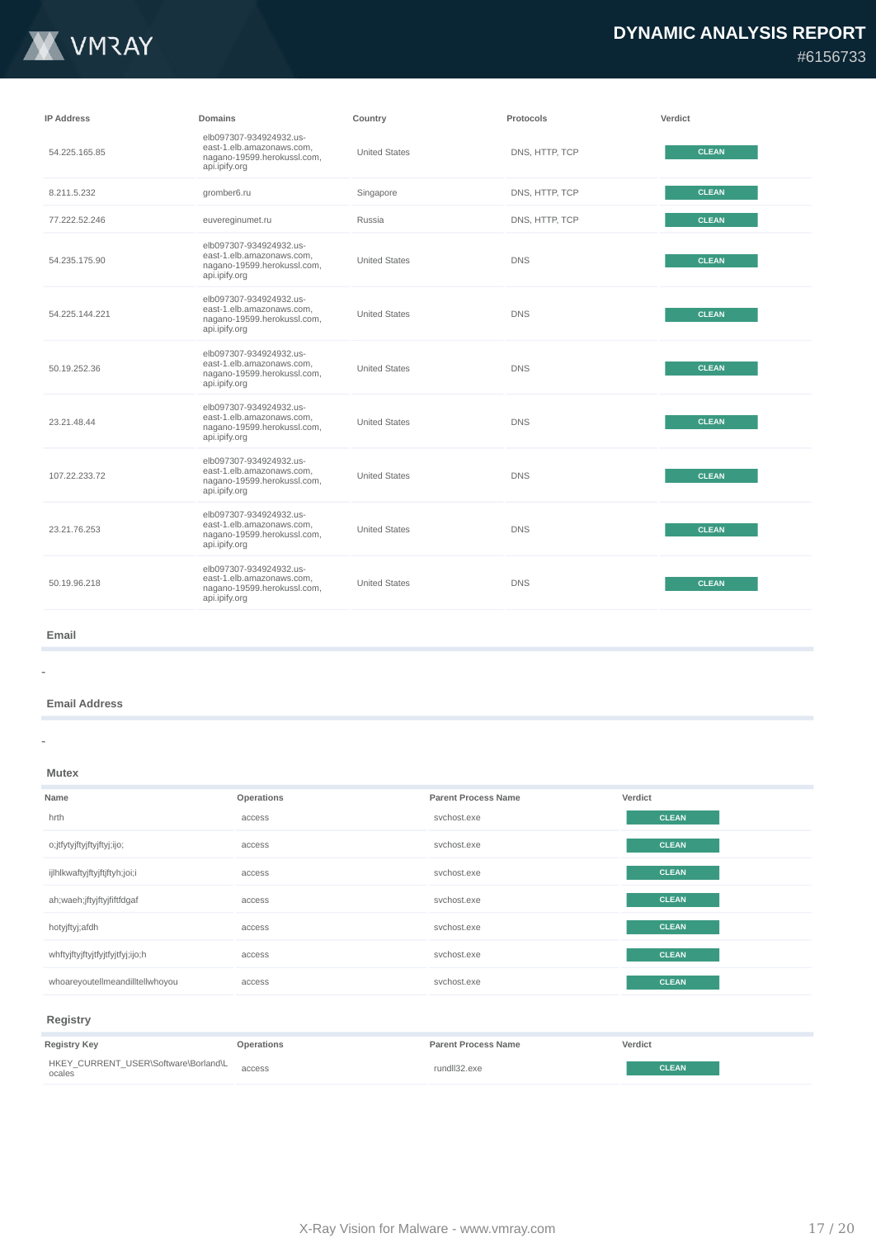

W VMRAY

| #6156733 |  |
|----------|--|
|          |  |
|          |  |

| <b>IP Address</b> | Domains                                                                                              | Country              | Protocols      | Verdict      |
|-------------------|------------------------------------------------------------------------------------------------------|----------------------|----------------|--------------|
| 54.225.165.85     | elb097307-934924932.us-<br>east-1.elb.amazonaws.com,<br>nagano-19599.herokussl.com,<br>api.ipify.org | <b>United States</b> | DNS, HTTP, TCP | <b>CLEAN</b> |
| 8.211.5.232       | gromber6.ru                                                                                          | Singapore            | DNS, HTTP, TCP | <b>CLEAN</b> |
| 77.222.52.246     | euvereginumet.ru                                                                                     | Russia               | DNS, HTTP, TCP | <b>CLEAN</b> |
| 54.235.175.90     | elb097307-934924932.us-<br>east-1.elb.amazonaws.com,<br>nagano-19599.herokussl.com,<br>api.ipify.org | <b>United States</b> | <b>DNS</b>     | <b>CLEAN</b> |
| 54.225.144.221    | elb097307-934924932.us-<br>east-1.elb.amazonaws.com.<br>nagano-19599.herokussl.com,<br>api.ipify.org | <b>United States</b> | <b>DNS</b>     | <b>CLEAN</b> |
| 50.19.252.36      | elb097307-934924932.us-<br>east-1.elb.amazonaws.com,<br>nagano-19599.herokussl.com,<br>api.ipify.org | <b>United States</b> | <b>DNS</b>     | <b>CLEAN</b> |
| 23.21.48.44       | elb097307-934924932.us-<br>east-1.elb.amazonaws.com.<br>nagano-19599.herokussl.com,<br>api.ipify.org | <b>United States</b> | <b>DNS</b>     | <b>CLEAN</b> |
| 107.22.233.72     | elb097307-934924932.us-<br>east-1.elb.amazonaws.com,<br>nagano-19599.herokussl.com,<br>api.ipify.org | <b>United States</b> | <b>DNS</b>     | <b>CLEAN</b> |
| 23.21.76.253      | elb097307-934924932.us-<br>east-1.elb.amazonaws.com.<br>nagano-19599.herokussl.com,<br>api.ipify.org | <b>United States</b> | <b>DNS</b>     | <b>CLEAN</b> |
| 50.19.96.218      | elb097307-934924932.us-<br>east-1.elb.amazonaws.com,<br>nagano-19599.herokussl.com,<br>api.ipify.org | <b>United States</b> | <b>DNS</b>     | <b>CLEAN</b> |
| Email             |                                                                                                      |                      |                |              |

#### **Email Address**

-

-

### **Mutex**

| Name                                           | Operations | <b>Parent Process Name</b> | Verdict      |
|------------------------------------------------|------------|----------------------------|--------------|
| hrth                                           | access     | svchost.exe                | <b>CLEAN</b> |
| o;jtfytyjftyjftyjftyj;ijo;                     | access     | svchost.exe                | <b>CLEAN</b> |
| ijlhlkwaftyjftyjftjftyh;joi;i                  | access     | svchost.exe                | <b>CLEAN</b> |
| ah;waeh;jftyjftyjfiftfdgaf                     | access     | svchost.exe                | <b>CLEAN</b> |
| hotyjftyj;afdh                                 | access     | svchost.exe                | <b>CLEAN</b> |
| whftyjftyjftyjtfyjtfyjtfyj;ijo;h               | access     | svchost.exe                | <b>CLEAN</b> |
| whoareyoutellmeandilltellwhoyou                | access     | svchost.exe                | <b>CLEAN</b> |
| Registry                                       |            |                            |              |
| <b>Registry Key</b>                            | Operations | <b>Parent Process Name</b> | Verdict      |
| HKEY_CURRENT_USER\Software\Borland\L<br>ocales | access     | rundll32.exe               | <b>CLEAN</b> |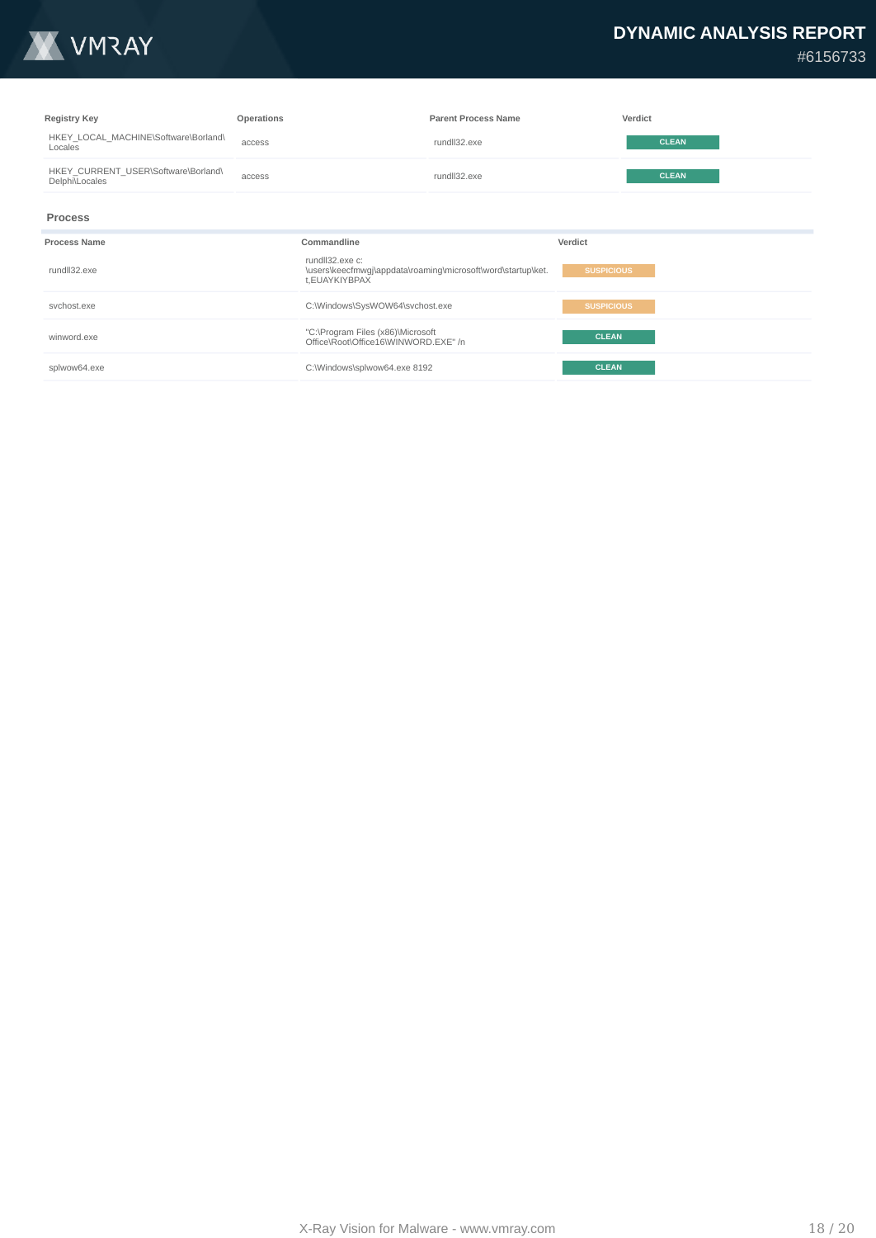

| Registry Key                                          | Operations |                                                                                                   | <b>Parent Process Name</b> |                   | Verdict      |
|-------------------------------------------------------|------------|---------------------------------------------------------------------------------------------------|----------------------------|-------------------|--------------|
| HKEY LOCAL MACHINE\Software\Borland\<br>Locales       | access     |                                                                                                   | rundll32.exe               |                   | <b>CLEAN</b> |
| HKEY CURRENT USER\Software\Borland\<br>Delphi\Locales | access     |                                                                                                   | rundll32.exe               |                   | <b>CLEAN</b> |
| <b>Process</b>                                        |            |                                                                                                   |                            |                   |              |
| <b>Process Name</b>                                   |            | Commandline                                                                                       |                            | Verdict           |              |
| rundll32.exe                                          |            | rundll32,exe c:<br>\users\keecfmwgj\appdata\roaming\microsoft\word\startup\ket.<br>t, EUAYKIYBPAX |                            | <b>SUSPICIOUS</b> |              |
| sychost.exe                                           |            | C:\Windows\SysWOW64\svchost.exe                                                                   |                            | <b>SUSPICIOUS</b> |              |
| winword.exe                                           |            | "C:\Program Files (x86)\Microsoft<br>Office\Root\Office16\WINWORD.EXE" /n                         |                            | <b>CLEAN</b>      |              |
| splwow64.exe                                          |            | C:\Windows\splwow64.exe 8192                                                                      |                            | <b>CLEAN</b>      |              |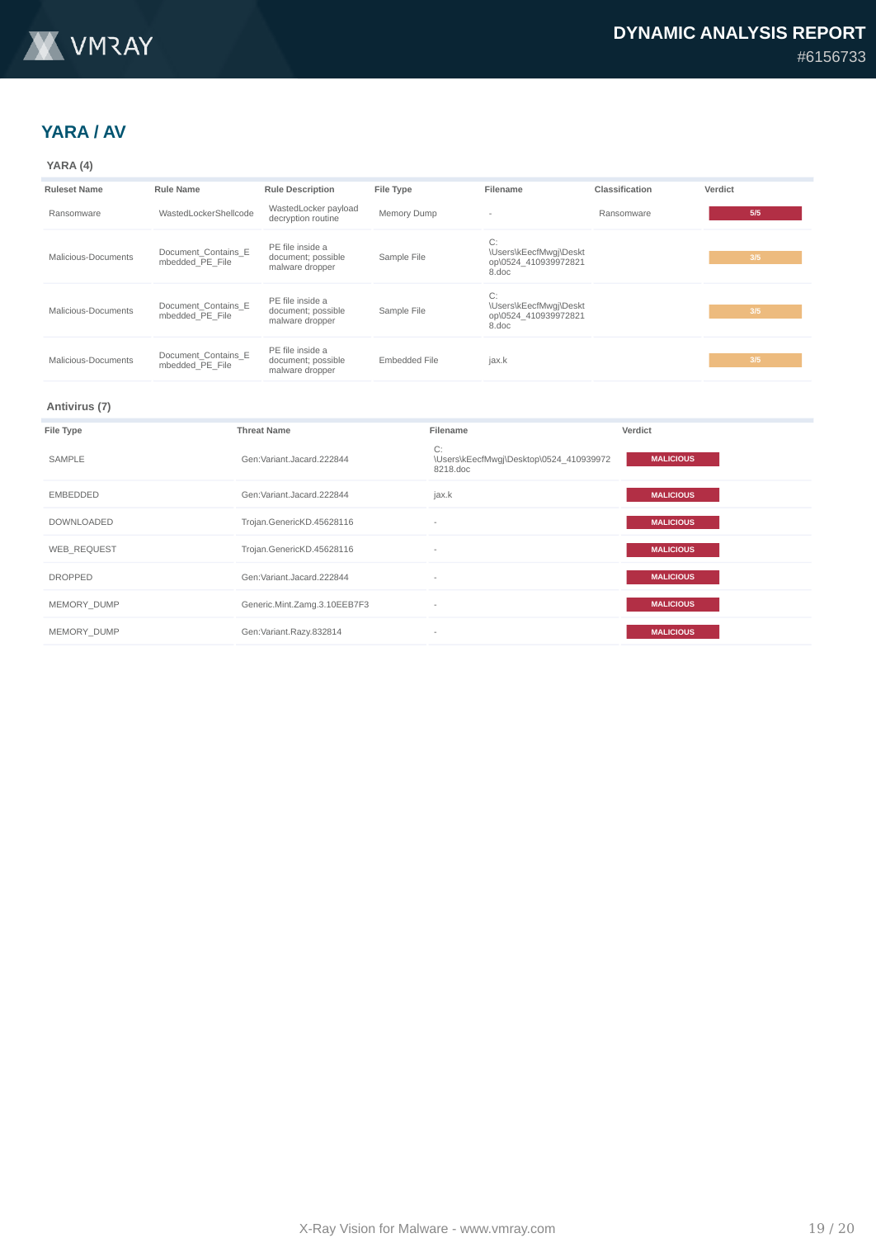

# **YARA / AV**

#### **YARA (4)**

| <b>Ruleset Name</b> | <b>Rule Name</b>                       | <b>Rule Description</b>                    | File Type     | Filename                                       | Classification | Verdict |
|---------------------|----------------------------------------|--------------------------------------------|---------------|------------------------------------------------|----------------|---------|
| Ransomware          | WastedLockerShellcode                  | WastedLocker payload<br>decryption routine | Memory Dump   | - 1                                            | Ransomware     | 5/5     |
|                     | Document Contains E                    | PE file inside a                           |               | C:<br>\Users\kEecfMwgj\Deskt                   |                |         |
| Malicious-Documents | mbedded PE File                        | document; possible<br>malware dropper      | Sample File   | op\0524 410939972821<br>8.doc                  |                | 3/5     |
|                     |                                        |                                            |               | C:                                             |                |         |
| Malicious-Documents | Document Contains E<br>mbedded PE File | PE file inside a<br>document; possible     | Sample File   | \Users\kEecfMwgj\Deskt<br>op\0524 410939972821 |                | 3/5     |
|                     |                                        | malware dropper                            |               | 8.doc                                          |                |         |
|                     | Document Contains E                    | PE file inside a                           |               |                                                |                |         |
| Malicious-Documents | mbedded PE File                        | document; possible<br>malware dropper      | Embedded File | jax.k                                          |                | 3/5     |

### **Antivirus (7)**

| File Type         | <b>Threat Name</b>           | Filename                                                  | Verdict          |
|-------------------|------------------------------|-----------------------------------------------------------|------------------|
| SAMPLE            | Gen: Variant. Jacard. 222844 | C:<br>\Users\kEecfMwgj\Desktop\0524 410939972<br>8218.doc | <b>MALICIOUS</b> |
| <b>EMBEDDED</b>   | Gen: Variant. Jacard. 222844 | jax.k                                                     | <b>MALICIOUS</b> |
| <b>DOWNLOADED</b> | Trojan.GenericKD.45628116    |                                                           | <b>MALICIOUS</b> |
| WEB REQUEST       | Trojan.GenericKD.45628116    |                                                           | <b>MALICIOUS</b> |
| <b>DROPPED</b>    | Gen: Variant. Jacard. 222844 | $\overline{\phantom{a}}$                                  | <b>MALICIOUS</b> |
| MEMORY DUMP       | Generic.Mint.Zamg.3.10EEB7F3 |                                                           | <b>MALICIOUS</b> |
| MEMORY DUMP       | Gen: Variant. Razy. 832814   | $\overline{\phantom{a}}$                                  | <b>MALICIOUS</b> |